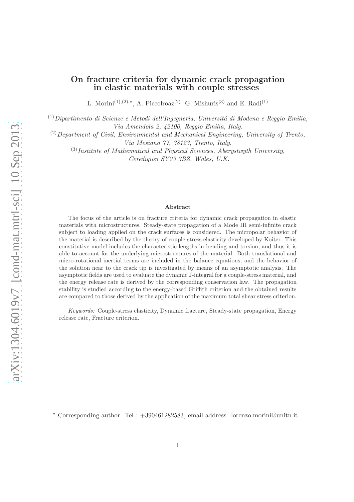L. Morini<sup>(1),(2),\*</sup>, A. Piccolroaz<sup>(2)</sup>, G. Mishuris<sup>(3)</sup> and E. Radi<sup>(1)</sup>

<sup>(1)</sup> Dipartimento di Scienze e Metodi dell'Ingegneria, Università di Modena e Reggio Emilia,

*Via Amendola 2, 42100, Reggio Emilia, Italy.*

(2)*Department of Civil, Environmental and Mechanical Engineering, University of Trento, Via Mesiano 77, 38123, Trento, Italy.*

(3)*Institute of Mathematical and Physical Sciences, Aberystwyth University, Ceredigion SY23 3BZ, Wales, U.K.*

#### Abstract

The focus of the article is on fracture criteria for dynamic crack propagation in elastic materials with microstructures. Steady-state propagation of a Mode III semi-infinite crack subject to loading applied on the crack surfaces is considered. The micropolar behavior of the material is described by the theory of couple-stress elasticity developed by Koiter. This constitutive model includes the characteristic lengths in bending and torsion, and thus it is able to account for the underlying microstructures of the material. Both translational and micro-rotational inertial terms are included in the balance equations, and the behavior of the solution near to the crack tip is investigated by means of an asymptotic analysis. The asymptotic fields are used to evaluate the dynamic J-integral for a couple-stress material, and the energy release rate is derived by the corresponding conservation law. The propagation stability is studied according to the energy-based Griffith criterion and the obtained results are compared to those derived by the application of the maximum total shear stress criterion.

*Keywords:* Couple-stress elasticity, Dynamic fracture, Steady-state propagation, Energy release rate, Fracture criterion.

<sup>∗</sup> Corresponding author. Tel.: +390461282583, email address: lorenzo.morini@unitn.it.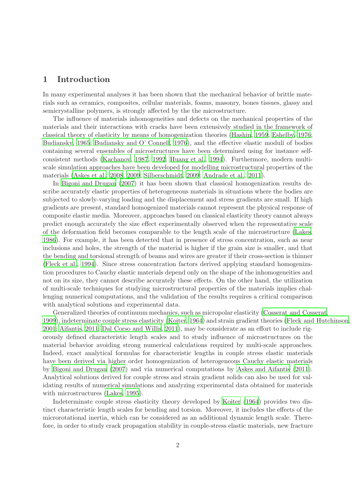### 1 Introduction

In many experimental analyses it has been shown that the mechanical behavior of brittle materials such as ceramics, composites, cellular materials, foams, masonry, bones tissues, glassy and semicrystalline polymers, is strongly affected by the the microstructure.

The influence of materials inhomogeneities and defects on the mechanical properties of the materials and their interactions with cracks have been extensively studied in the framework of classical theory of elasticity by means of homogenization theories [\(Hashin](#page-29-0), [1959](#page-29-0); [Eshelby](#page-29-1), [1976](#page-29-1); [Budiansky](#page-28-0), [1965](#page-28-0); [Budiansky and O' Connell](#page-28-1), [1976](#page-28-1)), and the effective elastic moduli of bodies containing several ensembles of microstructures have been determined using for instance selfconsistent methods [\(Kachanov, 1987,](#page-29-2) [1992](#page-29-3); [Huang et al., 1994](#page-29-4)). Furthermore, modern multiscale simulation approaches have been developed for modelling microstructural properties of the materials [\(Askes et al.](#page-28-2), [2008,](#page-28-2) [2009](#page-28-3); [Silberschmidt, 2009](#page-30-0); [Andrade et al., 2011](#page-28-4)).

In [Bigoni and Drugan \(2007](#page-28-5)) it has been shown that classical homogenization results describe accurately elastic properties of heterogeneous materials in situations where the bodies are subjected to slowly-varying loading and the displacement and stress gradients are small. If high gradients are present, standard homogenized materials cannot represent the physical response of composite elastic media. Moreover, approaches based on classical elasticity theory cannot always predict enough accurately the size effect experimentally observed when the representative scale of the deformation field becomes comparable to the length scale of the microstructure [\(Lakes](#page-29-5), [1986\)](#page-29-5). For example, it has been detected that in presence of stress concentration, such as near inclusions and holes, the strength of the material is higher if the grain size is smaller, and that the bending and torsional strength of beams and wires are greater if their cross-section is thinner [\(Fleck et al.](#page-29-6), [1994](#page-29-6)). Since stress concentration factors derived applying standard homogenization procedures to Cauchy elastic materials depend only on the shape of the inhomogeneities and not on its size, they cannot describe accurately these effects. On the other hand, the utilization of multi-scale techniques for studying microstructural properties of the materials implies challenging numerical computations, and the validation of the results requires a critical comparison with analytical solutions and experimental data.

Generalized theories of continuum mechanics, such as micropolar elasticity [\(Cosserat and Cosserat,](#page-28-6) [1909\)](#page-28-6), indeterminate couple stress elasticity [\(Koiter, 1964](#page-29-7)) and strain gradient theories [\(Fleck and Hutchinson,](#page-29-8) [2001;](#page-29-8) [Aifantis](#page-28-7), [2011](#page-28-7); [Dal Corso and Willis](#page-28-8), [2011](#page-28-8)), may be considerate as an effort to include rigorously defined characteristic length scales and to study influence of microstructures on the material behavior avoiding strong numerical calculations required by multi-scale approaches. Indeed, exact analytical formulas for characteristic lengths in couple stress elastic materials have been derived via higher order homogenization of heterogeneous Cauchy elastic materials by [Bigoni and Drugan \(2007](#page-28-5)) and via numerical computations by [Askes and Aifantis \(2011](#page-28-9)). Analytical solutions derived for couple stress and strain gradient solids can also be used for validating results of numerical simulations and analyzing experimental data obtained for materials with microstructures [\(Lakes, 1995](#page-30-1)).

Indeterminate couple stress elasticity theory developed by [Koiter \(1964\)](#page-29-7) provides two distinct characteristic length scales for bending and torsion. Moreover, it includes the effects of the microrotational inertia, which can be considered as an additional dynamic length scale. Therefore, in order to study crack propagation stability in couple-stress elastic materials, new fracture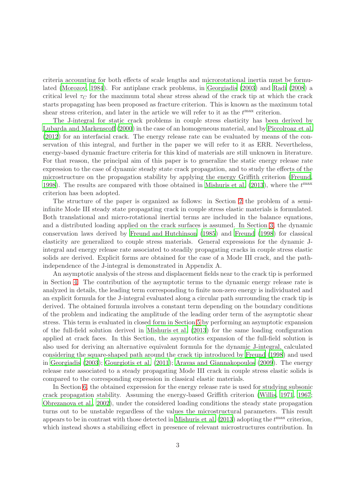criteria accounting for both effects of scale lengths and microrotational inertia must be formulated [\(Morozov, 1984\)](#page-30-2). For antiplane crack problems, in [Georgiadis \(2003\)](#page-29-9) and [Radi \(2008](#page-30-3)) a critical level  $\tau_C$  for the maximum total shear stress ahead of the crack tip at which the crack starts propagating has been proposed as fracture criterion. This is known as the maximum total shear stress criterion, and later in the article we will refer to it as the  $t^{\max}$  criterion.

The J-integral for static crack problems in couple stress elasticity has been derived by [Lubarda and Markenscoff \(2000](#page-30-4)) in the case of an homogeneous material, and by [Piccolroaz et al.](#page-30-5) [\(2012](#page-30-5)) for an interfacial crack. The energy release rate can be evaluated by means of the conservation of this integral, and further in the paper we will refer to it as ERR. Nevertheless, energy-based dynamic fracture criteria for this kind of materials are still unknown in literature. For that reason, the principal aim of this paper is to generalize the static energy release rate expression to the case of dynamic steady state crack propagation, and to study the effects of the microstructure on the propagation stability by applying the energy Griffith criterion [\(Freund,](#page-29-10) [1998\)](#page-29-10). The results are compared with those obtained in [Mishuris et al. \(2013](#page-30-6)), where the  $t^{\max}$ criterion has been adopted.

The structure of the paper is organized as follows: in Section [2](#page-3-0) the problem of a semiinfinite Mode III steady state propagating crack in couple stress elastic materials is formulated. Both translational and micro-rotational inertial terms are included in the balance equations, and a distributed loading applied on the crack surfaces is assumed. In Section [3,](#page-5-0) the dynamic conservation laws derived by [Freund and Hutchinson \(1985](#page-29-11)) and [Freund \(1998](#page-29-10)) for classical elasticity are generalized to couple stress materials. General expressions for the dynamic Jintegral and energy release rate associated to steadily propagating cracks in couple stress elastic solids are derived. Explicit forms are obtained for the case of a Mode III crack, and the pathindependence of the J-integral is demonstrated in Appendix A.

An asymptotic analysis of the stress and displacement fields near to the crack tip is performed in Section [4.](#page-7-0) The contribution of the asymptotic terms to the dynamic energy release rate is analyzed in details, the leading term corresponding to finite non-zero energy is individuated and an explicit formula for the J-integral evaluated along a circular path surrounding the crack tip is derived. The obtained formula involves a constant term depending on the boundary conditions of the problem and indicating the amplitude of the leading order term of the asymptotic shear stress. This term is evaluated in closed form in Section [5](#page-9-0) by performing an asymptotic expansion of the full-field solution derived in [Mishuris et al. \(2013\)](#page-30-6) for the same loading configuration applied at crack faces. In this Section, the asymptotics expansion of the full-field solution is also used for deriving an alternative equivalent formula for the dynamic J-integral, calculated considering the square-shaped path around the crack tip introduced by [Freund \(1998](#page-29-10)) and used in [Georgiadis \(2003](#page-29-9)); [Gourgiotis et al. \(2011](#page-29-12)); [Aravas and Giannakopoulos \(2009\)](#page-28-10). The energy release rate associated to a steady propagating Mode III crack in couple stress elastic solids is compared to the corresponding expression in classical elastic materials.

In Section [6,](#page-13-0) the obtained expression for the energy release rate is used for studying subsonic crack propagation stability. Assuming the energy-based Griffith criterion [\(Willis, 1971](#page-30-7), [1967](#page-30-8); [Obrezanova et al., 2002](#page-30-9)), under the considered loading conditions the steady state propagation turns out to be unstable regardless of the values the microstructural parameters. This result appears to be in contrast with those detected in Mishuris et al.  $(2013)$  adopting the  $t^{\text{max}}$  criterion, which instead shows a stabilizing effect in presence of relevant microstructures contribution. In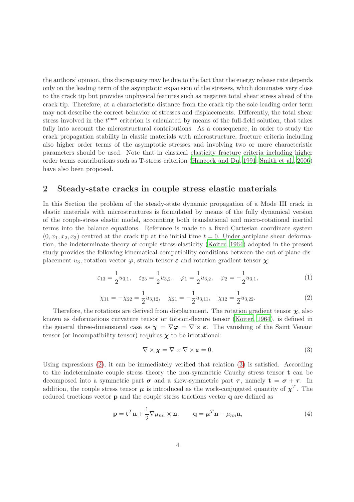the authors' opinion, this discrepancy may be due to the fact that the energy release rate depends only on the leading term of the asymptotic expansion of the stresses, which dominates very close to the crack tip but provides unphysical features such as negative total shear stress ahead of the crack tip. Therefore, at a characteristic distance from the crack tip the sole leading order term may not describe the correct behavior of stresses and displacements. Differently, the total shear stress involved in the  $t^{\max}$  criterion is calculated by means of the full-field solution, that takes fully into account the microstructural contributions. As a consequence, in order to study the crack propagation stability in elastic materials with microstructure, fracture criteria including also higher order terms of the asymptotic stresses and involving two or more characteristic parameters should be used. Note that in classical elasticity fracture criteria including higher order terms contributions such as T-stress criterion [\(Hancock and Du](#page-29-13), [1991](#page-29-13); [Smith et al.](#page-30-10), [2006](#page-30-10)) have also been proposed.

### <span id="page-3-0"></span>2 Steady-state cracks in couple stress elastic materials

In this Section the problem of the steady-state dynamic propagation of a Mode III crack in elastic materials with microstructures is formulated by means of the fully dynamical version of the couple-stress elastic model, accounting both translational and micro-rotational inertial terms into the balance equations. Reference is made to a fixed Cartesian coordinate system  $(0, x_1, x_2, x_3)$  centred at the crack tip at the initial time  $t = 0$ . Under antiplane shear deformation, the indeterminate theory of couple stress elasticity [\(Koiter, 1964](#page-29-7)) adopted in the present study provides the following kinematical compatibility conditions between the out-of-plane displacement  $u_3$ , rotation vector  $\varphi$ , strain tensor  $\varepsilon$  and rotation gradient tensor  $\chi$ :

<span id="page-3-3"></span>
$$
\varepsilon_{13} = \frac{1}{2} u_{3,1}, \quad \varepsilon_{23} = \frac{1}{2} u_{3,2}, \quad \varphi_1 = \frac{1}{2} u_{3,2}, \quad \varphi_2 = -\frac{1}{2} u_{3,1},
$$
\n(1)

<span id="page-3-1"></span>
$$
\chi_{11} = -\chi_{22} = \frac{1}{2}u_{3,12}, \quad \chi_{21} = -\frac{1}{2}u_{3,11}, \quad \chi_{12} = \frac{1}{2}u_{3,22}.
$$
 (2)

Therefore, the rotations are derived from displacement. The rotation gradient tensor  $\chi$ , also known as deformations curvature tensor or torsion-flexure tensor [\(Koiter](#page-29-7), [1964](#page-29-7)), is defined in the general three-dimensional case as  $\chi = \nabla \varphi = \nabla \times \varepsilon$ . The vanishing of the Saint Venant tensor (or incompatibility tensor) requires  $\chi$  to be irrotational:

<span id="page-3-2"></span>
$$
\nabla \times \chi = \nabla \times \nabla \times \varepsilon = 0. \tag{3}
$$

Using expressions [\(2\)](#page-3-1), it can be immediately verified that relation [\(3\)](#page-3-2) is satisfied. According to the indeterminate couple stress theory the non-symmetric Cauchy stress tensor t can be decomposed into a symmetric part  $\sigma$  and a skew-symmetric part  $\tau$ , namely  $t = \sigma + \tau$ . In addition, the couple stress tensor  $\mu$  is introduced as the work-conjugated quantity of  $\chi^T$ . The reduced tractions vector p and the couple stress tractions vector q are defined as

<span id="page-3-4"></span>
$$
\mathbf{p} = \mathbf{t}^T \mathbf{n} + \frac{1}{2} \nabla \mu_{nn} \times \mathbf{n}, \qquad \mathbf{q} = \boldsymbol{\mu}^T \mathbf{n} - \mu_{nn} \mathbf{n}, \tag{4}
$$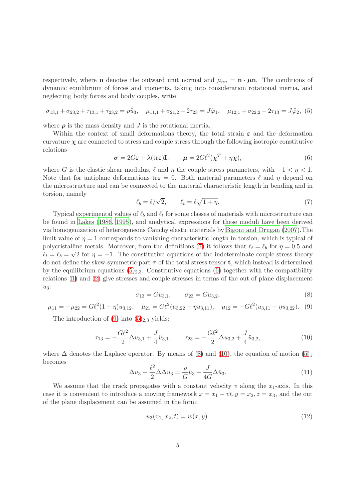respectively, where **n** denotes the outward unit normal and  $\mu_{nn} = \mathbf{n} \cdot \mu \mathbf{n}$ . The conditions of dynamic equilibrium of forces and moments, taking into consideration rotational inertia, and neglecting body forces and body couples, write

<span id="page-4-1"></span>
$$
\sigma_{13,1} + \sigma_{23,2} + \tau_{13,1} + \tau_{23,2} = \rho \ddot{u}_3, \quad \mu_{11,1} + \sigma_{21,2} + 2\tau_{23} = J\ddot{\varphi}_1, \quad \mu_{12,1} + \sigma_{22,2} - 2\tau_{13} = J\ddot{\varphi}_2, (5)
$$

where  $\rho$  is the mass density and J is the rotational inertia.

Within the context of small deformations theory, the total strain  $\varepsilon$  and the deformation curvature  $\chi$  are connected to stress and couple stress through the following isotropic constitutive relations

<span id="page-4-2"></span>
$$
\sigma = 2G\varepsilon + \lambda(\text{tr}\varepsilon)\mathbf{I}, \qquad \mu = 2G\ell^2(\chi^T + \eta\chi), \tag{6}
$$

where G is the elastic shear modulus,  $\ell$  and  $\eta$  the couple stress parameters, with  $-1 < \eta < 1$ . Note that for antiplane deformations tr $\varepsilon = 0$ . Both material parameters  $\ell$  and  $\eta$  depend on the microstructure and can be connected to the material characteristic length in bending and in torsion, namely

<span id="page-4-0"></span>
$$
\ell_b = \ell/\sqrt{2}, \qquad \ell_t = \ell\sqrt{1+\eta}. \tag{7}
$$

Typical experimental values of  $\ell_b$  and  $\ell_t$  for some classes of materials with microstructure can be found in [Lakes \(1986](#page-29-5), [1995\)](#page-30-1), and analytical expressions for these moduli have been derived via homogenization of heterogeneous Cauchy elastic materials by [Bigoni and Drugan \(2007](#page-28-5)).The limit value of  $\eta = 1$  corresponds to vanishing characteristic length in torsion, which is typical of polycristalline metals. Moreover, from the definitions [\(7\)](#page-4-0) it follows that  $\ell_t = \ell_b$  for  $\eta = 0.5$  and  $\ell_t = \ell_b = \sqrt{2}$  for  $\eta = -1$ . The constitutive equations of the indeterminate couple stress theory do not define the skew-symmetric part  $\tau$  of the total stress tensor **t**, which instead is determined by the equilibrium equations  $(5)_{2,3}$ . Constitutive equations [\(6\)](#page-4-2) together with the compatibility relations [\(1\)](#page-3-3) and [\(2\)](#page-3-1) give stresses and couple stresses in terms of the out of plane displacement  $u_3$ :

<span id="page-4-4"></span>
$$
\sigma_{13} = Gu_{3,1}, \qquad \sigma_{23} = Gu_{3,2}, \tag{8}
$$

<span id="page-4-3"></span>
$$
\mu_{11} = -\mu_{22} = G\ell^2 (1 + \eta) u_{3,12}, \quad \mu_{21} = G\ell^2 (u_{3,22} - \eta u_{3,11}), \quad \mu_{12} = -G\ell^2 (u_{3,11} - \eta u_{3,22}). \tag{9}
$$

The introduction of  $(9)$  into  $(5)_{2,3}$  yields:

<span id="page-4-5"></span>
$$
\tau_{13} = -\frac{G\ell^2}{2}\Delta u_{3,1} + \frac{J}{4}\ddot{u}_{3,1}, \qquad \tau_{23} = -\frac{G\ell^2}{2}\Delta u_{3,2} + \frac{J}{4}\ddot{u}_{3,2}, \tag{10}
$$

where  $\Delta$  denotes the Laplace operator. By means of [\(8\)](#page-4-4) and [\(10\)](#page-4-5), the equation of motion [\(5\)](#page-4-1)<sub>1</sub> becomes

<span id="page-4-6"></span>
$$
\Delta u_3 - \frac{\ell^2}{2} \Delta \Delta u_3 = \frac{\rho}{G} \ddot{u}_3 - \frac{J}{4G} \Delta \ddot{u}_3. \tag{11}
$$

We assume that the crack propagates with a constant velocity  $v$  along the  $x_1$ -axis. In this case it is convenient to introduce a moving framework  $x = x_1 - vt, y = x_2, z = x_3$ , and the out of the plane displacement can be assumed in the form:

<span id="page-4-7"></span>
$$
u_3(x_1, x_2, t) = w(x, y). \tag{12}
$$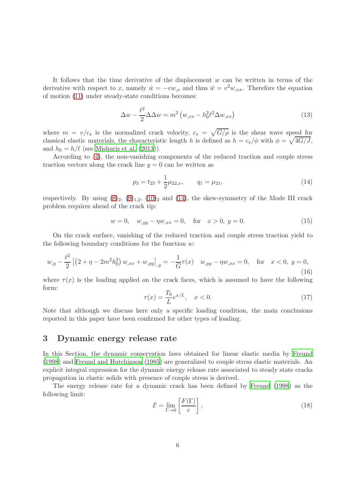It follows that the time derivative of the displacement  $w$  can be written in terms of the derivative with respect to x, namely  $\dot{w} = -vw_{,x}$  and thus  $\ddot{w} = v^2w_{,xx}$ . Therefore the equation of motion [\(11\)](#page-4-6) under steady-state conditions becomes:

<span id="page-5-2"></span>
$$
\Delta w - \frac{\ell^2}{2} \Delta \Delta w = m^2 \left( w_{,xx} - h_0^2 \ell^2 \Delta w_{,xx} \right) \tag{13}
$$

where  $m = v/c_s$  is the normalized crack velocity,  $c_s = \sqrt{G/\rho}$  is the shear wave speed for classical elastic materials, the characteristic length h is defined as  $h = c_s/\phi$  with  $\phi = \sqrt{4G/J}$ , and  $h_0 = h/\ell$  (see [Mishuris et al. \(2013](#page-30-6))).

According to [\(4\)](#page-3-4), the non-vanishing components of the reduced traction and couple stress traction vectors along the crack line  $y = 0$  can be written as

<span id="page-5-1"></span>
$$
p_3 = t_{23} + \frac{1}{2}\mu_{22,x}, \qquad q_1 = \mu_{21}, \tag{14}
$$

respectively. By using  $(8)_2$ ,  $(9)_{1,2}$ ,  $(10)_2$  and  $(14)$ , the skew-symmetry of the Mode III crack problem requires ahead of the crack tip:

<span id="page-5-3"></span>
$$
w = 0, \quad w_{,yy} - \eta w_{,xx} = 0, \quad \text{for} \quad x > 0, \ y = 0. \tag{15}
$$

On the crack surface, vanishing of the reduced traction and couple stress traction yield to the following boundary conditions for the function  $w$ :

<span id="page-5-4"></span>
$$
w_{,y} - \frac{\ell^2}{2} \left[ \left( 2 + \eta - 2m^2 h_0^2 \right) w_{,xx} + w_{,yy} \right]_{,y} = -\frac{1}{G} \tau(x) \quad w_{,yy} - \eta w_{,xx} = 0, \quad \text{for} \quad x < 0, \ y = 0,\tag{16}
$$

where  $\tau(x)$  is the loading applied on the crack faces, which is assumed to have the following form:

<span id="page-5-5"></span>
$$
\tau(x) = \frac{T_0}{L} e^{x/L}, \quad x < 0. \tag{17}
$$

Note that although we discuss here only a specific loading condition, the main conclusions reported in this paper have been confirmed for other types of loading.

#### <span id="page-5-0"></span>3 Dynamic energy release rate

In this Section, the dynamic conservation laws obtained for linear elastic media by [Freund](#page-29-10) [\(1998](#page-29-10)) and [Freund and Hutchinson \(1985](#page-29-11)) are generalized to couple stress elastic materials. An explicit integral expression for the dynamic energy release rate associated to steady state cracks propagation in elastic solids with presence of couple stress is derived.

The energy release rate for a dynamic crack has been defined by [Freund \(1998](#page-29-10)) as the following limit:

$$
\mathcal{E} = \lim_{\Gamma \to 0} \left[ \frac{F(\Gamma)}{v} \right],\tag{18}
$$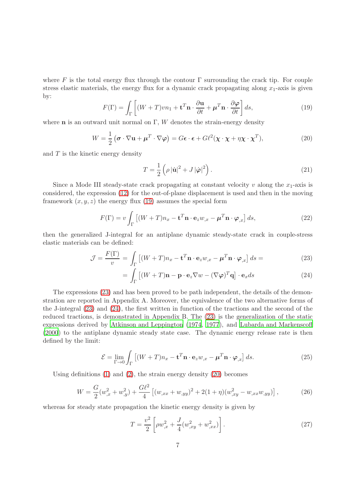where F is the total energy flux through the contour  $\Gamma$  surrounding the crack tip. For couple stress elastic materials, the energy flux for a dynamic crack propagating along  $x_1$ -axis is given by:

<span id="page-6-0"></span>
$$
F(\Gamma) = \int_{\Gamma} \left[ (W + T) v n_1 + \mathbf{t}^T \mathbf{n} \cdot \frac{\partial \mathbf{u}}{\partial t} + \boldsymbol{\mu}^T \mathbf{n} \cdot \frac{\partial \boldsymbol{\varphi}}{\partial t} \right] ds,
$$
 (19)

where **n** is an outward unit normal on Γ, W denotes the strain-energy density

<span id="page-6-2"></span>
$$
W = \frac{1}{2} \left( \boldsymbol{\sigma} \cdot \nabla \mathbf{u} + \boldsymbol{\mu}^T \cdot \nabla \boldsymbol{\varphi} \right) = G \boldsymbol{\epsilon} \cdot \boldsymbol{\epsilon} + G \ell^2 (\boldsymbol{\chi} \cdot \boldsymbol{\chi} + \eta \boldsymbol{\chi} \cdot \boldsymbol{\chi}^T), \tag{20}
$$

and  $T$  is the kinetic energy density

$$
T = \frac{1}{2} \left( \rho \left| \dot{\mathbf{u}} \right|^2 + J \left| \dot{\boldsymbol{\varphi}} \right|^2 \right). \tag{21}
$$

Since a Mode III steady-state crack propagating at constant velocity  $v$  along the  $x_1$ -axis is considered, the expression [\(12\)](#page-4-7) for the out-of-plane displacement is used and then in the moving framework  $(x, y, z)$  the energy flux [\(19\)](#page-6-0) assumes the special form

$$
F(\Gamma) = v \int_{\Gamma} \left[ (W + T) n_x - \mathbf{t}^T \mathbf{n} \cdot \mathbf{e}_z w_{,x} - \boldsymbol{\mu}^T \mathbf{n} \cdot \boldsymbol{\varphi}_{,x} \right] ds, \tag{22}
$$

then the generalized J-integral for an antiplane dynamic steady-state crack in couple-stress elastic materials can be defined:

<span id="page-6-1"></span>
$$
\mathcal{J} = \frac{F(\Gamma)}{v} = \int_{\Gamma} \left[ (W + T) n_x - \mathbf{t}^T \mathbf{n} \cdot \mathbf{e}_z w_{,x} - \boldsymbol{\mu}^T \mathbf{n} \cdot \boldsymbol{\varphi}_{,x} \right] ds = \tag{23}
$$

$$
= \int_{\Gamma} \left[ (W + T)\mathbf{n} - \mathbf{p} \cdot \mathbf{e}_z \nabla w - (\nabla \varphi)^T \mathbf{q} \right] \cdot \mathbf{e}_x ds \tag{24}
$$

The expressions [\(23\)](#page-6-1) and has been proved to be path independent, the details of the demonstration are reported in Appendix A. Moreover, the equivalence of the two alternative forms of the J-integral [\(23\)](#page-6-1) and [\(24\)](#page-6-1), the first written in function of the tractions and the second of the reduced tractions, is demonstrated in Appendix B. The [\(23\)](#page-6-1) is the generalization of the static expressions derived by [Atkinson and Leppington \(1974](#page-28-11), [1977](#page-28-12)), and [Lubarda and Markenscoff](#page-30-4) [\(2000](#page-30-4)) to the antiplane dynamic steady state case. The dynamic energy release rate is then defined by the limit:

<span id="page-6-5"></span>
$$
\mathcal{E} = \lim_{\Gamma \to 0} \int_{\Gamma} \left[ (W + T) n_x - \mathbf{t}^T \mathbf{n} \cdot \mathbf{e}_z w_{,x} - \boldsymbol{\mu}^T \mathbf{n} \cdot \boldsymbol{\varphi}_{,x} \right] ds.
$$
 (25)

Using definitions [\(1\)](#page-3-3) and [\(2\)](#page-3-1), the strain energy density [\(20\)](#page-6-2) becomes

<span id="page-6-3"></span>
$$
W = \frac{G}{2}(w_{,x}^2 + w_{,y}^2) + \frac{G\ell^2}{4} \left[ (w_{,xx} + w_{,yy})^2 + 2(1+\eta)(w_{,xy}^2 - w_{,xx}w_{,yy}) \right],
$$
 (26)

whereas for steady state propagation the kinetic energy density is given by

<span id="page-6-4"></span>
$$
T = \frac{v^2}{2} \left[ \rho w_{,x}^2 + \frac{J}{4} (w_{,xy}^2 + w_{,xx}^2) \right].
$$
 (27)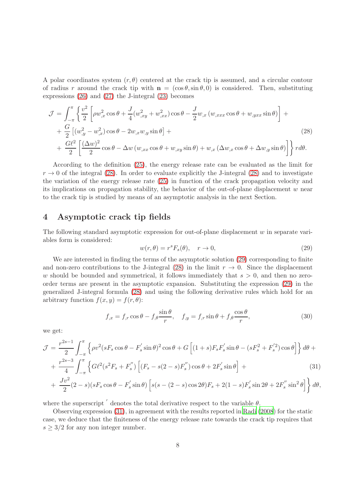A polar coordinates system  $(r, \theta)$  centered at the crack tip is assumed, and a circular contour of radius r around the crack tip with  $\mathbf{n} = (\cos \theta, \sin \theta, 0)$  is considered. Then, substituting expressions [\(26\)](#page-6-3) and [\(27\)](#page-6-4) the J-integral [\(23\)](#page-6-1) becomes

<span id="page-7-1"></span>
$$
\mathcal{J} = \int_{-\pi}^{\pi} \left\{ \frac{v^2}{2} \left[ \rho w_{,x}^2 \cos \theta + \frac{J}{4} (w_{,xy}^2 + w_{,xx}^2) \cos \theta - \frac{J}{2} w_{,x} (w_{,xxx} \cos \theta + w_{,yxx} \sin \theta) \right] + \frac{G}{2} \left[ (w_{,y}^2 - w_{,x}^2) \cos \theta - 2w_{,x} w_{,y} \sin \theta \right] + \frac{G\ell^2}{2} \left[ \frac{(\Delta w)^2}{2} \cos \theta - \Delta w (w_{,xx} \cos \theta + w_{,xy} \sin \theta) + w_{,x} (\Delta w_{,x} \cos \theta + \Delta w_{,y} \sin \theta) \right] \right\} r d\theta.
$$
\n(28)

According to the definition [\(25\)](#page-6-5), the energy release rate can be evaluated as the limit for  $r \to 0$  of the integral [\(28\)](#page-7-1). In order to evaluate explicitly the J-integral (28) and to investigate the variation of the energy release rate [\(25\)](#page-6-5) in function of the crack propagation velocity and its implications on propagation stability, the behavior of the out-of-plane displacement  $w$  near to the crack tip is studied by means of an asymptotic analysis in the next Section.

#### <span id="page-7-0"></span>4 Asymptotic crack tip fields

The following standard asymptotic expression for out-of-plane displacement w in separate variables form is considered:

<span id="page-7-2"></span>
$$
w(r, \theta) = r^s F_s(\theta), \quad r \to 0,
$$
\n(29)

We are interested in finding the terms of the asymptotic solution [\(29\)](#page-7-2) corresponding to finite and non-zero contributions to the J-integral [\(28\)](#page-7-1) in the limit  $r \to 0$ . Since the displacement w should be bounded and symmetrical, it follows immediately that  $s > 0$ , and then no zeroorder terms are present in the asymptotic expansion. Substituting the expression [\(29\)](#page-7-2) in the generalized J-integral formula [\(28\)](#page-7-1) and using the following derivative rules which hold for an arbitrary function  $f(x, y) = f(r, \theta)$ :

<span id="page-7-4"></span>
$$
f_{,x} = f_{,r} \cos \theta - f_{,\theta} \frac{\sin \theta}{r}, \quad f_{,y} = f_{,r} \sin \theta + f_{,\theta} \frac{\cos \theta}{r}, \tag{30}
$$

we get:

<span id="page-7-3"></span>
$$
\mathcal{J} = \frac{r^{2s-1}}{2} \int_{-\pi}^{\pi} \left\{ \rho v^2 (s F_s \cos \theta - F_s' \sin \theta)^2 \cos \theta + G \left[ (1+s) F_s F_s' \sin \theta - (s F_s^2 + F_s'^2) \cos \theta \right] \right\} d\theta +
$$
  
+ 
$$
\frac{r^{2s-3}}{4} \int_{-\pi}^{\pi} \left\{ G \ell^2 (s^2 F_s + F_s'') \left[ (F_s - s(2-s) F_s'') \cos \theta + 2F_s' \sin \theta \right] +
$$
  
+ 
$$
\frac{J v^2}{2} (2-s) (s F_s \cos \theta - F_s' \sin \theta) \left[ s(s - (2-s) \cos 2\theta) F_s + 2(1-s) F_s' \sin 2\theta + 2F_s'' \sin^2 \theta \right] \right\} d\theta,
$$
  
(31)

where the superscript  $\prime$  denotes the total derivative respect to the variable  $\theta$ .

Observing expression [\(31\)](#page-7-3), in agreement with the results reported in [Radi \(2008](#page-30-3)) for the static case, we deduce that the finiteness of the energy release rate towards the crack tip requires that  $s \geq 3/2$  for any non integer number.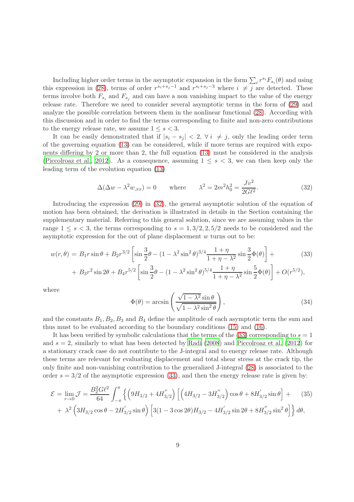Including higher order terms in the asymptotic expansion in the form  $\sum_i r^{s_i}F_{s_i}(\theta)$  and using this expression in [\(28\)](#page-7-1), terms of order  $r^{s_i+s_j-1}$  and  $r^{s_i+s_j-3}$  where  $i \neq j$  are detected. These terms involve both  $F_{s_i}$  and  $F_{s_j}$  and can have a non vanishing impact to the value of the energy release rate. Therefore we need to consider several asymptotic terms in the form of [\(29\)](#page-7-2) and analyze the possible correlation between them in the nonlinear functional [\(28\)](#page-7-1). According with this discussion and in order to find the terms corresponding to finite and non-zero contributions to the energy release rate, we assume  $1 \leq s < 3$ .

It can be easily demonstrated that if  $|s_i - s_j| < 2$ ,  $\forall i \neq j$ , only the leading order term of the governing equation [\(13\)](#page-5-2) can be considered, while if more terms are required with exponents differing by 2 or more than 2, the full equation [\(13\)](#page-5-2) must be considered in the analysis [\(Piccolroaz et al., 2012](#page-30-5)). As a consequence, assuming  $1 \leq s < 3$ , we can then keep only the leading term of the evolution equation [\(13\)](#page-5-2)

<span id="page-8-0"></span>
$$
\Delta(\Delta w - \lambda^2 w_{,xx}) = 0 \quad \text{where} \quad \lambda^2 = 2m^2 h_0^2 = \frac{Jv^2}{2G\ell^2}.
$$
 (32)

Introducing the expression [\(29\)](#page-7-2) in [\(32\)](#page-8-0), the general asymptotic solution of the equation of motion has been obtained, the derivation is illustrated in details in the Section containing the supplementary material. Referring to this general solution, since we are assuming values in the range  $1 \leq s < 3$ , the terms corresponding to  $s = 1, 3/2, 2, 5/2$  needs to be considered and the asymptotic expression for the out of plane displacement  $w$  turns out to be:

<span id="page-8-1"></span>
$$
w(r,\theta) = B_1 r \sin \theta + B_2 r^{3/2} \left[ \sin \frac{3}{2} \theta - (1 - \lambda^2 \sin^2 \theta)^{3/4} \frac{1 + \eta}{1 + \eta - \lambda^2} \sin \frac{3}{2} \Phi(\theta) \right] +
$$
(33)

+ 
$$
B_3 r^2 \sin 2\theta + B_4 r^{5/2} \left[ \sin \frac{3}{2}\theta - (1 - \lambda^2 \sin^2 \theta)^{5/4} \frac{1 + \eta}{1 + \eta - \lambda^2} \sin \frac{5}{2} \Phi(\theta) \right] + O(r^{5/2}),
$$

where

$$
\Phi(\theta) = \arcsin\left(\frac{\sqrt{1 - \lambda^2} \sin \theta}{\sqrt{1 - \lambda^2 \sin^2 \theta}}\right),\tag{34}
$$

and the constants  $B_1, B_2, B_3$  and  $B_4$  define the amplitude of each asymptotic term the sum and thus must to be evaluated according to the boundary conditions [\(15\)](#page-5-3) and [\(16\)](#page-5-4).

It has been verified by symbolic calculations that the terms of the  $(33)$  corresponding to  $s = 1$ and  $s = 2$ , similarly to what has been detected by [Radi \(2008](#page-30-3)) and [Piccolroaz et al. \(2012](#page-30-5)) for a stationary crack case do not contribute to the J-integral and to energy release rate. Although these terms are relevant for evaluating displacement and total shear stress at the crack tip, the only finite and non-vanishing contribution to the generalized J-integral [\(28\)](#page-7-1) is associated to the order  $s = 3/2$  of the asymptotic expression [\(33\)](#page-8-1), and then the energy release rate is given by:

<span id="page-8-2"></span>
$$
\mathcal{E} = \lim_{r \to 0} \mathcal{J} = \frac{B_2^2 G \ell^2}{64} \int_{-\pi}^{\pi} \left\{ \left( 9H_{3/2} + 4H_{3/2}^{''} \right) \left[ \left( 4H_{3/2} - 3H_{3/2}^{''} \right) \cos \theta + 8H_{3/2}^{'} \sin \theta \right] + \lambda^2 \left( 3H_{3/2} \cos \theta - 2H_{3/2}^{'} \sin \theta \right) \left[ 3(1 - 3\cos 2\theta) H_{3/2} - 4H_{3/2}^{'} \sin 2\theta + 8H_{3/2}^{''} \sin^2 \theta \right] \right\} d\theta,
$$
\n(35)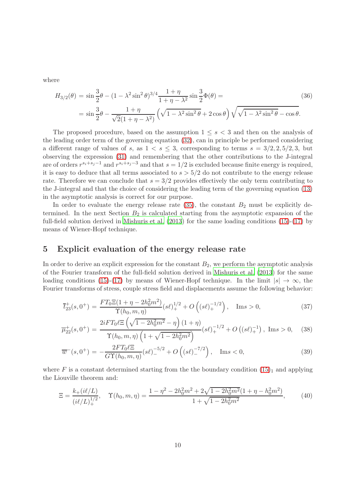where

$$
H_{3/2}(\theta) = \sin\frac{3}{2}\theta - (1 - \lambda^2 \sin^2 \theta)^{3/4} \frac{1 + \eta}{1 + \eta - \lambda^2} \sin\frac{3}{2}\Phi(\theta) =
$$
  
= 
$$
\sin\frac{3}{2}\theta - \frac{1 + \eta}{\sqrt{2}(1 + \eta - \lambda^2)} \left(\sqrt{1 - \lambda^2 \sin^2 \theta} + 2 \cos \theta\right) \sqrt{\sqrt{1 - \lambda^2 \sin^2 \theta} - \cos \theta}.
$$
 (36)

The proposed procedure, based on the assumption  $1 \leq s < 3$  and then on the analysis of the leading order term of the governing equation [\(32\)](#page-8-0), can in principle be performed considering a different range of values of s, as  $1 \lt s \leq 3$ , corresponding to terms  $s = 3/2, 2, 5/2, 3$ , but observing the expression [\(31\)](#page-7-3) and remembering that the other contributions to the J-integral are of orders  $r^{s_i+s_j-1}$  and  $r^{s_i+s_j-3}$  and that  $s=1/2$  is excluded because finite energy is required, it is easy to deduce that all terms associated to  $s > 5/2$  do not contribute to the energy release rate. Therefore we can conclude that  $s = 3/2$  provides effectively the only term contributing to the J-integral and that the choice of considering the leading term of the governing equation [\(13\)](#page-5-2) in the asymptotic analysis is correct for our purpose.

In order to evaluate the energy release rate  $(35)$ , the constant  $B_2$  must be explicitly determined. In the next Section  $B_2$  is calculated starting from the asymptotic expansion of the full-field solution derived in [Mishuris et al. \(2013\)](#page-30-6) for the same loading conditions [\(15\)](#page-5-3)-[\(17\)](#page-5-5) by means of Wiener-Hopf technique.

### <span id="page-9-0"></span>5 Explicit evaluation of the energy release rate

In order to derive an explicit expression for the constant  $B_2$ , we perform the asymptotic analysis of the Fourier transform of the full-field solution derived in [Mishuris et al. \(2013\)](#page-30-6) for the same loading conditions [\(15\)](#page-5-3)-[\(17\)](#page-5-5) by means of Wiener-Hopf technique. In the limit  $|s| \to \infty$ , the Fourier transforms of stress, couple stress field and displacements assume the following behavior:

<span id="page-9-2"></span>
$$
\overline{t}_{23}^+(s,0^+) = \frac{FT_0 \Xi(1+\eta-2h_0^2 m^2)}{\Upsilon(h_0, m, \eta)} (s\ell)_+^{1/2} + O\left((s\ell)_+^{-1/2}\right), \quad \text{Im}s > 0,
$$
\n(37)

$$
\overline{\mu}_{22}^{+}(s,0^{+}) = \frac{2iFT_{0}\ell\Xi\left(\sqrt{1-2h_{0}^{2}m^{2}}-\eta\right)(1+\eta)}{\Upsilon(h_{0},m,\eta)\left(1+\sqrt{1-2h_{0}^{2}m^{2}}\right)}(s\ell)_{+}^{-1/2} + O\left((s\ell)_{+}^{-1}\right), \text{ Im}s > 0, \quad (38)
$$

$$
\overline{w}^-(s,0^+) = -\frac{2FT_0\ell\Xi}{GT(h_0,m,\eta)}(s\ell)^{-5/2} + O\left((s\ell)^{-7/2}\right), \quad \text{Im}s < 0,\tag{39}
$$

where F is a constant determined starting from the the boundary condition  $(15)<sub>1</sub>$  and applying the Liouville theorem and:

<span id="page-9-1"></span>
$$
\Xi = \frac{k_+(i\ell/L)}{(i\ell/L)_+^{1/2}}, \quad \Upsilon(h_0, m, \eta) = \frac{1 - \eta^2 - 2h_0^2m^2 + 2\sqrt{1 - 2h_0^2m^2}(1 + \eta - h_0^2m^2)}{1 + \sqrt{1 - 2h_0^2m^2}},\tag{40}
$$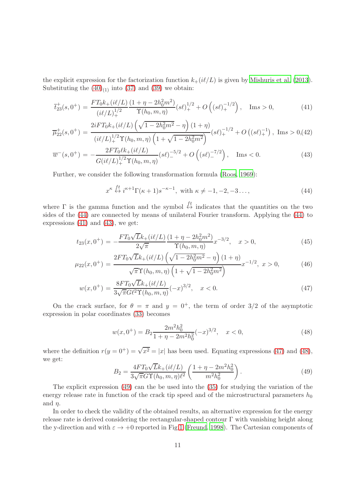the explicit expression for the factorization function  $k_+(i\ell/L)$  is given by [Mishuris et al. \(2013](#page-30-6)). Substituting the  $(40)_{(1)}$  into  $(37)$  and  $(39)$  we obtain:

<span id="page-10-1"></span>
$$
\overline{t}_{23}^+(s,0^+) = \frac{FT_0k_+(i\ell/L)}{(i\ell/L)_+^{1/2}} \frac{(1+\eta-2h_0^2m^2)}{\Upsilon(h_0,m,\eta)}(s\ell)_+^{1/2} + O\left((s\ell)_+^{-1/2}\right), \quad \text{Im}s > 0,
$$
\n(41)

$$
\overline{\mu}_{22}^{+}(s,0^{+}) = \frac{2iFT_{0}k_{+}(i\ell/L)\left(\sqrt{1-2h_{0}^{2}m^{2}}-\eta\right)(1+\eta)}{(i\ell/L)_{+}^{1/2}\Upsilon(h_{0},m,\eta)\left(1+\sqrt{1-2h_{0}^{2}m^{2}}\right)}(s\ell)_{+}^{-1/2} + O\left((s\ell)_{+}^{-1}\right), \text{ Im } s > 0, (42)
$$

$$
\overline{w}^-(s,0^+) = -\frac{2FT_0\ell k_+(i\ell/L)}{G(i\ell/L)_+^{1/2}\Upsilon(h_0,m,\eta)}(s\ell)_-^{-5/2} + O\left((s\ell)_-^{-7/2}\right), \quad \text{Im}s < 0. \tag{43}
$$

Further, we consider the following transformation formula [\(Roos, 1969](#page-30-11)):

<span id="page-10-0"></span>
$$
x^{\kappa} \stackrel{ft}{\leftrightarrow} i^{\kappa+1} \Gamma(\kappa+1) s^{-\kappa-1}, \text{ with } \kappa \neq -1, -2, -3 \dots,
$$
 (44)

where Γ is the gamma function and the symbol  $\xi_t$  indicates that the quantities on the two sides of the [\(44\)](#page-10-0) are connected by means of unilateral Fourier transform. Applying the [\(44\)](#page-10-0) to expressions  $(41)$  and  $(43)$ , we get:

<span id="page-10-2"></span>
$$
t_{23}(x,0^{+}) = -\frac{FT_0\sqrt{L}k_{+}(i\ell/L)}{2\sqrt{\pi}}\frac{(1+\eta-2h_0^2m^2)}{\Upsilon(h_0,m,\eta)}x^{-3/2}, \quad x > 0,
$$
\n(45)

$$
\mu_{22}(x,0^{+}) = \frac{2FT_0\sqrt{L}k_{+}(i\ell/L)\left(\sqrt{1-2h_0^2m^2} - \eta\right)(1+\eta)}{\sqrt{\pi}\Upsilon(h_0,m,\eta)\left(1+\sqrt{1-2h_0^2m^2}\right)}x^{-1/2},\ x > 0,
$$
\n(46)

$$
w(x,0^{+}) = \frac{8FT_0\sqrt{L}k_{+}(i\ell/L)}{3\sqrt{\pi}G\ell^{2}\Upsilon(h_0,m,\eta)}(-x)^{3/2}, \quad x < 0.
$$
 (47)

On the crack surface, for  $\theta = \pi$  and  $y = 0^+$ , the term of order 3/2 of the asymptotic expression in polar coordinates [\(33\)](#page-8-1) becomes

<span id="page-10-3"></span>
$$
w(x,0^{+}) = B_{2} \frac{2m^{2}h_{0}^{2}}{1+\eta - 2m^{2}h_{0}^{2}}(-x)^{3/2}, \quad x < 0,
$$
\n(48)

where the definition  $r(y = 0^+) = \sqrt{x^2} = |x|$  has been used. Equating expressions [\(47\)](#page-10-2) and [\(48\)](#page-10-3), we get:

<span id="page-10-4"></span>
$$
B_2 = \frac{4FT_0\sqrt{L}k_+(i\ell/L)}{3\sqrt{\pi}G\Upsilon(h_0, m, \eta)\ell^2} \left(\frac{1+\eta-2m^2h_0^2}{m^2h_0^2}\right).
$$
 (49)

The explicit expression [\(49\)](#page-10-4) can the be used into the [\(35\)](#page-8-2) for studying the variation of the energy release rate in function of the crack tip speed and of the microstructural parameters  $h_0$ and  $\eta$ .

In order to check the validity of the obtained results, an alternative expression for the energy release rate is derived considering the rectangular-shaped contour  $\Gamma$  with vanishing height along the y-direction and with  $\varepsilon \to +0$  reported in Fig[.1](#page-11-0) [\(Freund, 1998](#page-29-10)). The Cartesian components of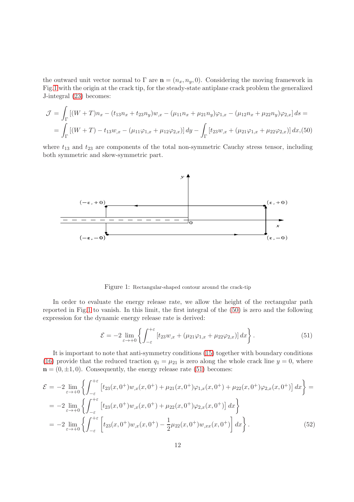the outward unit vector normal to  $\Gamma$  are  $\mathbf{n} = (n_x, n_y, 0)$ . Considering the moving framework in Fig[.1](#page-11-0) with the origin at the crack tip, for the steady-state antiplane crack problem the generalized J-integral [\(23\)](#page-6-1) becomes:

<span id="page-11-1"></span>
$$
\mathcal{J} = \int_{\Gamma} \left[ (W+T)n_x - (t_{13}n_x + t_{23}n_y)w_{,x} - (\mu_{11}n_x + \mu_{21}n_y)\varphi_{1,x} - (\mu_{12}n_x + \mu_{22}n_y)\varphi_{2,x} \right] ds =
$$
  
= 
$$
\int_{\Gamma} \left[ (W+T) - t_{13}w_{,x} - (\mu_{11}\varphi_{1,x} + \mu_{12}\varphi_{2,x}) \right] dy - \int_{\Gamma} \left[ t_{23}w_{,x} + (\mu_{21}\varphi_{1,x} + \mu_{22}\varphi_{2,x}) \right] dx, (50)
$$

where  $t_{13}$  and  $t_{23}$  are components of the total non-symmetric Cauchy stress tensor, including both symmetric and skew-symmetric part.



<span id="page-11-0"></span>Figure 1: Rectangular-shaped contour around the crack-tip

In order to evaluate the energy release rate, we allow the height of the rectangular path reported in Fig[.1](#page-11-0) to vanish. In this limit, the first integral of the [\(50\)](#page-11-1) is zero and the following expression for the dynamic energy release rate is derived:

<span id="page-11-2"></span>
$$
\mathcal{E} = -2 \lim_{\varepsilon \to +0} \left\{ \int_{-\varepsilon}^{+\varepsilon} \left[ t_{23} w_{,x} + (\mu_{21} \varphi_{1,x} + \mu_{22} \varphi_{2,x}) \right] dx \right\}.
$$
 (51)

It is important to note that anti-symmetry conditions [\(15\)](#page-5-3) together with boundary conditions [\(16\)](#page-5-4) provide that the reduced traction  $q_1 = \mu_{21}$  is zero along the whole crack line  $y = 0$ , where  $n = (0, \pm 1, 0)$ . Consequently, the energy release rate [\(51\)](#page-11-2) becomes:

<span id="page-11-3"></span>
$$
\mathcal{E} = -2 \lim_{\varepsilon \to +0} \left\{ \int_{-\varepsilon}^{+\varepsilon} \left[ t_{23}(x, 0^+) w_{,x}(x, 0^+) + \mu_{21}(x, 0^+) \varphi_{1,x}(x, 0^+) + \mu_{22}(x, 0^+) \varphi_{2,x}(x, 0^+) \right] dx \right\} =
$$
  
\n
$$
= -2 \lim_{\varepsilon \to +0} \left\{ \int_{-\varepsilon}^{+\varepsilon} \left[ t_{23}(x, 0^+) w_{,x}(x, 0^+) + \mu_{22}(x, 0^+) \varphi_{2,x}(x, 0^+) \right] dx \right\}
$$
  
\n
$$
= -2 \lim_{\varepsilon \to +0} \left\{ \int_{-\varepsilon}^{+\varepsilon} \left[ t_{23}(x, 0^+) w_{,x}(x, 0^+) - \frac{1}{2} \mu_{22}(x, 0^+) w_{,xx}(x, 0^+) \right] dx \right\}.
$$
 (52)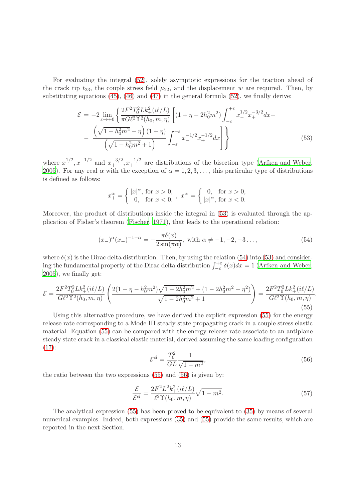For evaluating the integral [\(52\)](#page-11-3), solely asymptotic expressions for the traction ahead of the crack tip  $t_{23}$ , the couple stress field  $\mu_{22}$ , and the displacement w are required. Then, by substituting equations  $(45)$ ,  $(46)$  and  $(47)$  in the general formula  $(52)$ , we finally derive:

<span id="page-12-0"></span>
$$
\mathcal{E} = -2 \lim_{\varepsilon \to +0} \left\{ \frac{2F^2 T_0^2 L k_+^2 (i\ell/L)}{\pi G \ell^2 \Upsilon^2 (h_0, m, \eta)} \left[ (1 + \eta - 2h_0^2 m^2) \int_{-\varepsilon}^{+\varepsilon} x_-^{1/2} x_+^{-3/2} dx - \frac{\left( \sqrt{1 - h_0^2 m^2} - \eta \right) (1 + \eta)}{\left( \sqrt{1 - h_0^2 m^2} + 1 \right)} \int_{-\varepsilon}^{+\varepsilon} x_-^{-1/2} x_+^{-1/2} dx \right] \right\}
$$
(53)

where  $x_{-}^{1/2}$ ,  $x_{-}^{-1/2}$  and  $x_{+}^{-3/2}$ ,  $x_{+}^{-1/2}$  are distributions of the bisection type [\(Arfken and Weber](#page-28-13), [2005\)](#page-28-13). For any real  $\alpha$  with the exception of  $\alpha = 1, 2, 3, \ldots$ , this particular type of distributions is defined as follows:

$$
x_+^{\alpha} = \begin{cases} |x|^{\alpha}, \text{ for } x > 0, \\ 0, \text{ for } x < 0. \end{cases}, x_-^{\alpha} = \begin{cases} 0, \text{ for } x > 0, \\ |x|^{\alpha}, \text{ for } x < 0. \end{cases}
$$

Moreover, the product of distributions inside the integral in [\(53\)](#page-12-0) is evaluated through the application of Fisher's theorem [\(Fischer, 1971\)](#page-29-14), that leads to the operational relation:

<span id="page-12-1"></span>
$$
(x_{-})^{\alpha}(x_{+})^{-1-\alpha} = -\frac{\pi \delta(x)}{2\sin(\pi \alpha)}, \text{ with } \alpha \neq -1, -2, -3..., \tag{54}
$$

where  $\delta(x)$  is the Dirac delta distribution. Then, by using the relation [\(54\)](#page-12-1) into [\(53\)](#page-12-0) and considering the fundamental property of the Dirac delta distribution  $\int_{-\varepsilon}^{+\varepsilon} \delta(x) dx = 1$  [\(Arfken and Weber](#page-28-13), [2005\)](#page-28-13), we finally get:

<span id="page-12-2"></span>
$$
\mathcal{E} = \frac{2F^2T_0^2Lk_+^2(i\ell/L)}{G\ell^2\Upsilon^2(h_0, m, \eta)} \left( \frac{2(1+\eta - h_0^2m^2)\sqrt{1-2h_0^2m^2} + (1-2h_0^2m^2 - \eta^2)}{\sqrt{1-2h_0^2m^2} + 1} \right) = \frac{2F^2T_0^2Lk_+^2(i\ell/L)}{G\ell^2\Upsilon(h_0, m, \eta)} \tag{55}
$$

Using this alternative procedure, we have derived the explicit expression [\(55\)](#page-12-2) for the energy release rate corresponding to a Mode III steady state propagating crack in a couple stress elastic material. Equation [\(55\)](#page-12-2) can be compared with the energy release rate associate to an antiplane steady state crack in a classical elastic material, derived assuming the same loading configuration [\(17\)](#page-5-5):

<span id="page-12-3"></span>
$$
\mathcal{E}^{cl} = \frac{T_0^2}{GL} \frac{1}{\sqrt{1 - m^2}},\tag{56}
$$

.

the ratio between the two expressions  $(55)$  and  $(56)$  is given by:

<span id="page-12-4"></span>
$$
\frac{\mathcal{E}}{\mathcal{E}^{cl}} = \frac{2F^2 L^2 k_+^2 (i\ell/L)}{\ell^2 \Upsilon(h_0, m, \eta)} \sqrt{1 - m^2}.
$$
\n(57)

The analytical expression [\(55\)](#page-12-2) has been proved to be equivalent to [\(35\)](#page-8-2) by means of several numerical examples. Indeed, both expressions  $(35)$  and  $(55)$  provide the same results, which are reported in the next Section.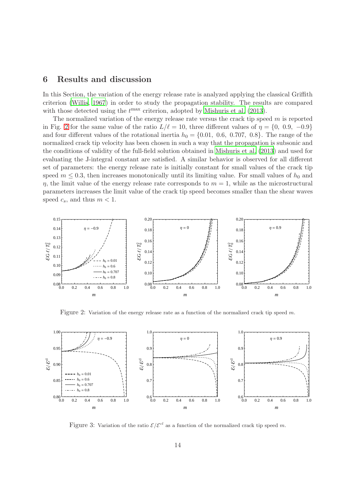# <span id="page-13-0"></span>6 Results and discussion

In this Section, the variation of the energy release rate is analyzed applying the classical Griffith criterion [\(Willis](#page-30-8), [1967](#page-30-8)) in order to study the propagation stability. The results are compared with those detected using the  $t^{\max}$  criterion, adopted by [Mishuris et al. \(2013\)](#page-30-6).

The normalized variation of the energy release rate versus the crack tip speed  $m$  is reported in Fig. [2](#page-13-1) for the same value of the ratio  $L/\ell = 10$ , three different values of  $\eta = \{0, 0.9, -0.9\}$ and four different values of the rotational inertia  $h_0 = \{0.01, 0.6, 0.707, 0.8\}$ . The range of the normalized crack tip velocity has been chosen in such a way that the propagation is subsonic and the conditions of validity of the full-field solution obtained in [Mishuris et al. \(2013\)](#page-30-6) and used for evaluating the J-integral constant are satisfied. A similar behavior is observed for all different set of parameters: the energy release rate is initially constant for small values of the crack tip speed  $m \leq 0.3$ , then increases monotonically until its limiting value. For small values of  $h_0$  and  $\eta$ , the limit value of the energy release rate corresponds to  $m = 1$ , while as the microstructural parameters increases the limit value of the crack tip speed becomes smaller than the shear waves speed  $c_s$ , and thus  $m < 1$ .



<span id="page-13-1"></span>Figure 2: Variation of the energy release rate as a function of the normalized crack tip speed  $m$ .



<span id="page-13-2"></span>Figure 3: Variation of the ratio  $\mathcal{E}/\mathcal{E}^{cl}$  as a function of the normalized crack tip speed m.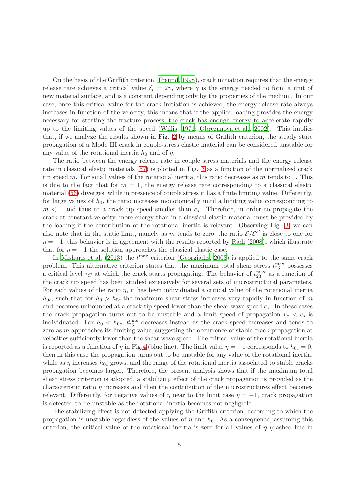On the basis of the Griffith criterion [\(Freund, 1998\)](#page-29-10), crack initiation requires that the energy release rate achieves a critical value  $\mathcal{E}_c = 2\gamma$ , where  $\gamma$  is the energy needed to form a unit of new material surface, and is a constant depending only by the properties of the medium. In our case, once this critical value for the crack initiation is achieved, the energy release rate always increases in function of the velocity, this means that if the applied loading provides the energy necessary for starting the fracture process, the crack has enough energy to accelerate rapidly up to the limiting values of the speed [\(Willis](#page-30-7), [1971](#page-30-7); [Obrezanova et al.](#page-30-9), [2002](#page-30-9)). This implies that, if we analyze the results shown in Fig. [2](#page-13-1) by means of Griffith criterion, the steady state propagation of a Mode III crack in couple-stress elastic material can be considered unstable for any value of the rotational inertia  $h_0$  and of  $\eta$ .

The ratio between the energy release rate in couple stress materials and the energy release rate in classical elastic materials [\(57\)](#page-12-4) is plotted in Fig. [3](#page-13-2) as a function of the normalized crack tip speed m. For small values of the rotational inertia, this ratio decreases as m tends to 1. This is due to the fact that for  $m = 1$ , the energy release rate corresponding to a classical elastic material [\(56\)](#page-12-3) diverges, while in presence of couple stress it has a finite limiting value. Differently, for large values of  $h_0$ , the ratio increases monotonically until a limiting value corresponding to  $m < 1$  and thus to a crack tip speed smaller than  $c_s$ . Therefore, in order to propagate the crack at constant velocity, more energy than in a classical elastic material must be provided by the loading if the contribution of the rotational inertia is relevant. Observing Fig. [3,](#page-13-2) we can also note that in the static limit, namely as m tends to zero, the ratio  $\mathcal{E}/\mathcal{E}^{cl}$  is close to one for  $\eta = -1$ , this behavior is in agreement with the results reported by [Radi \(2008](#page-30-3)), which illustrate that for  $\eta = -1$  the solution approaches the classical elastic case.

In Mishuris et al.  $(2013)$  the  $t^{\text{max}}$  criterion [\(Georgiadis](#page-29-9), [2003](#page-29-9)) is applied to the same crack problem. This alternative criterion states that the maximum total shear stress  $t_{23}^{\text{max}}$  possesses a critical level  $\tau_C$  at which the crack starts propagating. The behavior of  $t_{23}^{\text{max}}$  as a function of the crack tip speed has been studied extensively for several sets of microstructural parameters. For each values of the ratio  $\eta$ , it has been individuated a critical value of the rotational inertia  $h_{0c}$ , such that for  $h_0 > h_{0c}$  the maximum shear stress increases very rapidly in function of m and becomes unbounded at a crack-tip speed lower than the shear wave speed  $c_s$ . In these cases the crack propagation turns out to be unstable and a limit speed of propagation  $v_c < c_s$  is individuated. For  $h_0 < h_{0c}$ ,  $t_{23}^{\text{max}}$  decreases instead as the crack speed increases and tends to zero as m approaches its limiting value, suggesting the occurrence of stable crack propagation at velocities sufficiently lower than the shear wave speed. The critical value of the rotational inertia is reported as a function of  $\eta$  in Fig[.4](#page-15-0) (blue line). The limit value  $\eta = -1$  corresponds to  $h_{0c} = 0$ , then in this case the propagation turns out to be unstable for any value of the rotational inertia, while as  $\eta$  increases  $h_{0c}$  grows, and the range of the rotational inertia associated to stable cracks propagation becomes larger. Therefore, the present analysis shows that if the maximum total shear stress criterion is adopted, a stabilizing effect of the crack propagation is provided as the characteristic ratio  $\eta$  increases and then the contribution of the microstructures effect becomes relevant. Differently, for negative values of  $\eta$  near to the limit case  $\eta = -1$ , crack propagation is detected to be unstable as the rotational inertia becomes not negligible.

The stabilizing effect is not detected applying the Griffith criterion, according to which the propagation is unstable regardless of the values of  $\eta$  and  $h_0$ . As a consequence, assuming this criterion, the critical value of the rotational inertia is zero for all values of  $\eta$  (dashed line in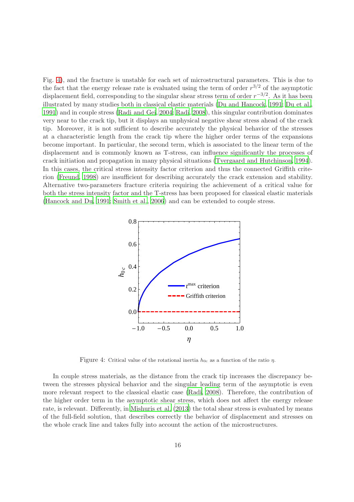Fig. [4\)](#page-15-0), and the fracture is unstable for each set of microstructural parameters. This is due to the fact that the energy release rate is evaluated using the term of order  $r^{3/2}$  of the asymptotic displacement field, corresponding to the singular shear stress term of order  $r^{-3/2}$ . As it has been illustrated by many studies both in classical elastic materials [\(Du and Hancock](#page-29-15), [1991](#page-29-15); [Du et al.](#page-29-16), [1991\)](#page-29-16) and in couple stress [\(Radi and Gei](#page-30-12), [2004;](#page-30-12) [Radi, 2008](#page-30-3)), this singular contribution dominates very near to the crack tip, but it displays an unphysical negative shear stress ahead of the crack tip. Moreover, it is not sufficient to describe accurately the physical behavior of the stresses at a characteristic length from the crack tip where the higher order terms of the expansions become important. In particular, the second term, which is associated to the linear term of the displacement and is commonly known as T-stress, can influence significantly the processes of crack initiation and propagation in many physical situations [\(Tvergaard and Hutchinson, 1994](#page-30-13)). In this cases, the critical stress intensity factor criterion and thus the connected Griffith criterion [\(Freund, 1998](#page-29-10)) are insufficient for describing accurately the crack extension and stability. Alternative two-parameters fracture criteria requiring the achievement of a critical value for both the stress intensity factor and the T-stress has been proposed for classical elastic materials [\(Hancock and Du](#page-29-13), [1991](#page-29-13); [Smith et al.](#page-30-10), [2006\)](#page-30-10) and can be extended to couple stress.



<span id="page-15-0"></span>Figure 4: Critical value of the rotational inertia  $h_{0c}$  as a function of the ratio  $\eta$ .

In couple stress materials, as the distance from the crack tip increases the discrepancy between the stresses physical behavior and the singular leading term of the asymptotic is even more relevant respect to the classical elastic case [\(Radi](#page-30-3), [2008](#page-30-3)). Therefore, the contribution of the higher order term in the asymptotic shear stress, which does not affect the energy release rate, is relevant. Differently, in [Mishuris et al. \(2013](#page-30-6)) the total shear stress is evaluated by means of the full-field solution, that describes correctly the behavior of displacement and stresses on the whole crack line and takes fully into account the action of the microstructures.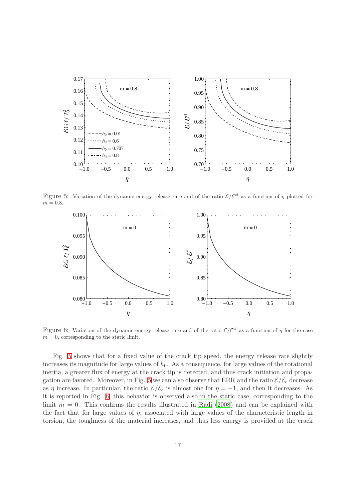

Figure 5: Variation of the dynamic energy release rate and of the ratio  $\mathcal{E}/\mathcal{E}^{cl}$  as a function of  $\eta$  plotted for  $m = 0.8$ .

<span id="page-16-0"></span>

<span id="page-16-1"></span>Figure 6: Variation of the dynamic energy release rate and of the ratio  $\mathcal{E}/\mathcal{E}^{cl}$  as a function of  $\eta$  for the case  $m = 0$ , corresponding to the static limit.

Fig. [5](#page-16-0) shows that for a fixed value of the crack tip speed, the energy release rate slightly increases its magnitude for large values of  $h_0$ . As a consequence, for large values of the rotational inertia, a greater flux of energy at the crack tip is detected, and thus crack initiation and propa-gation are favored. Moreover, in Fig. [5](#page-16-0) we can also observe that ERR and the ratio  $\mathcal{E}/\mathcal{E}_c$  decrease as  $\eta$  increase. In particular, the ratio  $\mathcal{E}/\mathcal{E}_c$  is almost one for  $\eta = -1$ , and then it decreases. As it is reported in Fig. [6,](#page-16-1) this behavior is observed also in the static case, corresponding to the limit  $m = 0$ . This confirms the results illustrated in [Radi \(2008](#page-30-3)) and can be explained with the fact that for large values of  $\eta$ , associated with large values of the characteristic length in torsion, the toughness of the material increases, and thus less energy is provided at the crack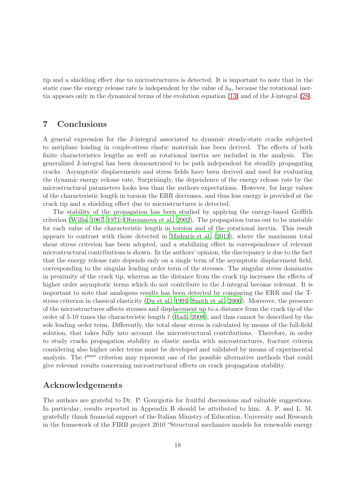tip and a shielding effect due to microstructures is detected. It is important to note that in the static case the energy release rate is independent by the value of  $h_0$ , because the rotational inertia appears only in the dynamical terms of the evolution equation [\(13\)](#page-5-2) and of the J-integral [\(28\)](#page-7-1).

#### 7 Conclusions

A general expression for the J-integral associated to dynamic steady-state cracks subjected to antiplane loading in couple-stress elastic materials has been derived. The effects of both finite characteristics lengths as well as rotational inertia are included in the analysis. The generalized J-integral has been demonstrated to be path independent for steadily propagating cracks. Asymptotic displacements and stress fields have been derived and used for evaluating the dynamic energy release rate. Surprisingly, the dependence of the energy release rate by the microstructural parameters looks less than the authors expectations. However, for large values of the characteristic length in torsion the ERR decreases, and thus less energy is provided at the crack tip and a shielding effect due to microstructures is detected.

The stability of the propagation has been studied by applying the energy-based Griffith criterion [\(Willis, 1967](#page-30-8), [1971](#page-30-7); [Obrezanova et al.](#page-30-9), [2002](#page-30-9)). The propagation turns out to be unstable for each value of the characteristic length in torsion and of the rotational inertia. This result appears to contrast with those detected in [Mishuris et al. \(2013\)](#page-30-6), where the maximum total shear stress criterion has been adopted, and a stabilizing effect in correspondence of relevant microstructural contributions is shown. In the authors' opinion, the discrepancy is due to the fact that the energy release rate depends only on a single term of the asymptotic displacement field, corresponding to the singular leading order term of the stresses. The singular stress dominates in proximity of the crack tip, whereas as the distance from the crack tip increases the effects of higher order asymptotic terms which do not contribute to the J-integral become relevant. It is important to note that analogous results has been detected by comparing the ERR and the Tstress criterion in classical elasticity [\(Du et al.](#page-29-16), [1991;](#page-29-16) [Smith et al.](#page-30-10), [2006](#page-30-10)). Moreover, the presence of the microstructures affects stresses and displacement up to a distance from the crack tip of the order of 5-10 times the characteristic length  $\ell$  [\(Radi, 2008\)](#page-30-3), and thus cannot be described by the sole leading order term. Differently, the total shear stress is calculated by means of the full-field solution, that takes fully into account the microstructural contributions. Therefore, in order to study cracks propagation stability in elastic media with microstructures, fracture criteria considering also higher order terms must be developed and validated by means of experimental analysis. The  $t<sup>max</sup>$  criterion may represent one of the possible alternative methods that could give relevant results concerning microstructural effects on crack propagation stability.

### Acknowledgements

The authors are grateful to Dr. P. Gourgiotis for fruitful discussions and valuable suggestions. In particular, results reported in Appendix B should be attributed to him. A. P. and L. M. gratefully thank financial support of the Italian Ministry of Education, University and Research in the framework of the FIRB project 2010 "Structural mechanics models for renewable energy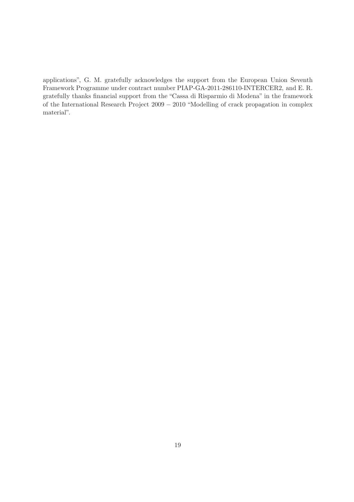applications", G. M. gratefully acknowledges the support from the European Union Seventh Framework Programme under contract number PIAP-GA-2011-286110-INTERCER2, and E. R. gratefully thanks financial support from the "Cassa di Risparmio di Modena" in the framework of the International Research Project 2009 − 2010 "Modelling of crack propagation in complex material".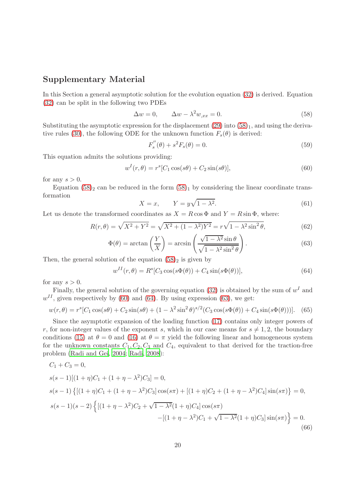# Supplementary Material

In this Section a general asymptotic solution for the evolution equation [\(32\)](#page-8-0) is derived. Equation [\(32\)](#page-8-0) can be split in the following two PDEs

<span id="page-19-0"></span>
$$
\Delta w = 0, \qquad \Delta w - \lambda^2 w_{,xx} = 0. \tag{58}
$$

Substituting the asymptotic expression for the displacement  $(29)$  into  $(58)_1$ , and using the deriva-tive rules [\(30\)](#page-7-4), the following ODE for the unknown function  $F_s(\theta)$  is derived:

$$
F_s''(\theta) + s^2 F_s(\theta) = 0.
$$
\n(59)

This equation admits the solutions providing:

<span id="page-19-1"></span>
$$
w^{I}(r,\theta) = r^{s}[C_1\cos(s\theta) + C_2\sin(s\theta)],
$$
\n(60)

for any  $s > 0$ .

Equation  $(58)_2$  can be reduced in the form  $(58)_1$  by considering the linear coordinate transformation

$$
X = x, \qquad Y = y\sqrt{1 - \lambda^2}.\tag{61}
$$

Let us denote the transformed coordinates as  $X = R \cos \Phi$  and  $Y = R \sin \Phi$ , where:

$$
R(r,\theta) = \sqrt{X^2 + Y^2} = \sqrt{X^2 + (1 - \lambda^2)Y^2} = r\sqrt{1 - \lambda^2 \sin^2 \theta},
$$
(62)

<span id="page-19-3"></span>
$$
\Phi(\theta) = \arctan\left(\frac{Y}{X}\right) = \arcsin\left(\frac{\sqrt{1-\lambda^2}\sin\theta}{\sqrt{1-\lambda^2\sin^2\theta}}\right). \tag{63}
$$

Then, the general solution of the equation  $(58)_2$  is given by

<span id="page-19-2"></span>
$$
w^{II}(r,\theta) = R^s[C_3 \cos(s\Phi(\theta)) + C_4 \sin(s\Phi(\theta))],
$$
\n(64)

for any  $s > 0$ .

Finally, the general solution of the governing equation [\(32\)](#page-8-0) is obtained by the sum of  $w<sup>I</sup>$  and  $w^{II}$ , given respectively by [\(60\)](#page-19-1) and [\(64\)](#page-19-2). By using expression [\(63\)](#page-19-3), we get:

<span id="page-19-5"></span>
$$
w(r,\theta) = r^{s}[C_{1}\cos(s\theta) + C_{2}\sin(s\theta) + (1 - \lambda^{2}\sin^{2}\theta)^{s/2}(C_{3}\cos(s\Phi(\theta)) + C_{4}\sin(s\Phi(\theta)))].
$$
 (65)

Since the asymptotic expansion of the loading function [\(17\)](#page-5-5) contains only integer powers of r, for non-integer values of the exponent s, which in our case means for  $s \neq 1, 2$ , the boundary conditions [\(15\)](#page-5-3) at  $\theta = 0$  and [\(16\)](#page-5-4) at  $\theta = \pi$  yield the following linear and homogeneous system for the unknown constants  $C_1, C_2, C_3$  and  $C_4$ , equivalent to that derived for the traction-free problem [\(Radi and Gei](#page-30-12), [2004;](#page-30-12) [Radi](#page-30-3), [2008](#page-30-3)):

<span id="page-19-4"></span>
$$
C_1 + C_3 = 0,
$$
  
\n
$$
s(s-1)[(1+\eta)C_1 + (1+\eta - \lambda^2)C_3] = 0,
$$
  
\n
$$
s(s-1)\{[(1+\eta)C_1 + (1+\eta - \lambda^2)C_3]\cos(s\pi) + [(1+\eta)C_2 + (1+\eta - \lambda^2)C_4]\sin(s\pi)\} = 0,
$$
  
\n
$$
s(s-1)(s-2)\{[(1+\eta - \lambda^2)C_2 + \sqrt{1-\lambda^2}(1+\eta)C_4]\cos(s\pi) - [(1+\eta - \lambda^2)C_1 + \sqrt{1-\lambda^2}(1+\eta)C_3]\sin(s\pi)\} = 0.
$$
  
\n(66)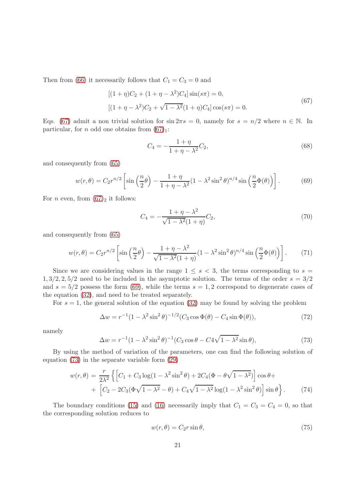Then from [\(66\)](#page-19-4) it necessarily follows that  $C_1 = C_3 = 0$  and

<span id="page-20-0"></span>
$$
[(1 + \eta)C_2 + (1 + \eta - \lambda^2)C_4] \sin(s\pi) = 0,
$$
  

$$
[(1 + \eta - \lambda^2)C_2 + \sqrt{1 - \lambda^2}(1 + \eta)C_4] \cos(s\pi) = 0.
$$
 (67)

Eqs. [\(67\)](#page-20-0) admit a non trivial solution for  $\sin 2\pi s = 0$ , namely for  $s = n/2$  where  $n \in \mathbb{N}$ . In particular, for *n* odd one obtains from  $(67)_1$ :

$$
C_4 = -\frac{1+\eta}{1+\eta - \lambda^2}C_2,\tag{68}
$$

and consequently from [\(65\)](#page-19-5)

<span id="page-20-1"></span>
$$
w(r,\theta) = C_2 r^{n/2} \left[ \sin\left(\frac{n}{2}\theta\right) - \frac{1+\eta}{1+\eta-\lambda^2} (1-\lambda^2 \sin^2\theta)^{n/4} \sin\left(\frac{n}{2}\Phi(\theta)\right) \right].
$$
 (69)

For *n* even, from  $(67)_2$  it follows:

$$
C_4 = -\frac{1+\eta - \lambda^2}{\sqrt{1-\lambda^2}(1+\eta)}C_2,
$$
\n(70)

and consequently from [\(65\)](#page-19-5)

$$
w(r,\theta) = C_2 r^{n/2} \left[ \sin\left(\frac{n}{2}\theta\right) - \frac{1+\eta-\lambda^2}{\sqrt{1-\lambda^2}(1+\eta)} (1-\lambda^2 \sin^2\theta)^{n/4} \sin\left(\frac{n}{2}\Phi(\theta)\right) \right].
$$
 (71)

Since we are considering values in the range  $1 \leq s < 3$ , the terms corresponding to  $s =$  $1, 3/2, 2, 5/2$  need to be included in the asymptotic solution. The terms of the order  $s = 3/2$ and  $s = 5/2$  possess the form [\(69\)](#page-20-1), while the terms  $s = 1, 2$  correspond to degenerate cases of the equation [\(32\)](#page-8-0), and need to be treated separately.

For  $s = 1$ , the general solution of the equation [\(32\)](#page-8-0) may be found by solving the problem

$$
\Delta w = r^{-1} (1 - \lambda^2 \sin^2 \theta)^{-1/2} (C_3 \cos \Phi(\theta) - C_4 \sin \Phi(\theta)),
$$
\n(72)

namely

<span id="page-20-2"></span>
$$
\Delta w = r^{-1} (1 - \lambda^2 \sin^2 \theta)^{-1} (C_3 \cos \theta - C_4 \sqrt{1 - \lambda^2} \sin \theta), \tag{73}
$$

By using the method of variation of the parameters, one can find the following solution of equation [\(73\)](#page-20-2) in the separate variable form [\(29\)](#page-7-2)

$$
w(r,\theta) = \frac{r}{2\lambda^2} \left\{ \left[ C_1 + C_3 \log(1 - \lambda^2 \sin^2 \theta) + 2C_4 (\Phi - \theta \sqrt{1 - \lambda^2}) \right] \cos \theta + \left[ C_2 - 2C_3 (\Phi \sqrt{1 - \lambda^2} - \theta) + C_4 \sqrt{1 - \lambda^2} \log(1 - \lambda^2 \sin^2 \theta) \right] \sin \theta \right\}.
$$
 (74)

The boundary conditions [\(15\)](#page-5-3) and [\(16\)](#page-5-4) necessarily imply that  $C_1 = C_3 = C_4 = 0$ , so that the corresponding solution reduces to

$$
w(r,\theta) = C_2 r \sin \theta,\tag{75}
$$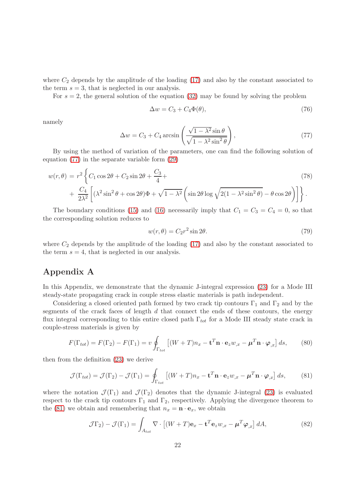where  $C_2$  depends by the amplitude of the loading [\(17\)](#page-5-5) and also by the constant associated to the term  $s = 3$ , that is neglected in our analysis.

For  $s = 2$ , the general solution of the equation [\(32\)](#page-8-0) may be found by solving the problem

$$
\Delta w = C_3 + C_4 \Phi(\theta),\tag{76}
$$

namely

<span id="page-21-0"></span>
$$
\Delta w = C_3 + C_4 \arcsin\left(\frac{\sqrt{1 - \lambda^2} \sin \theta}{\sqrt{1 - \lambda^2 \sin^2 \theta}}\right),\tag{77}
$$

By using the method of variation of the parameters, one can find the following solution of equation [\(77\)](#page-21-0) in the separate variable form [\(29\)](#page-7-2)

$$
w(r,\theta) = r^2 \left\{ C_1 \cos 2\theta + C_2 \sin 2\theta + \frac{C_3}{4} + \frac{C_4}{2\lambda^2} \left[ (\lambda^2 \sin^2 \theta + \cos 2\theta) \Phi + \sqrt{1 - \lambda^2} \left( \sin 2\theta \log \sqrt{2(1 - \lambda^2 \sin^2 \theta)} - \theta \cos 2\theta \right) \right] \right\}.
$$
\n(78)

The boundary conditions [\(15\)](#page-5-3) and [\(16\)](#page-5-4) necessarily imply that  $C_1 = C_3 = C_4 = 0$ , so that the corresponding solution reduces to

$$
w(r,\theta) = C_2 r^2 \sin 2\theta. \tag{79}
$$

where  $C_2$  depends by the amplitude of the loading [\(17\)](#page-5-5) and also by the constant associated to the term  $s = 4$ , that is neglected in our analysis.

# Appendix A

In this Appendix, we demonstrate that the dynamic J-integral expression [\(23\)](#page-6-1) for a Mode III steady-state propagating crack in couple stress elastic materials is path independent.

Considering a closed oriented path formed by two crack tip contours  $\Gamma_1$  and  $\Gamma_2$  and by the segments of the crack faces of length  $d$  that connect the ends of these contours, the energy flux integral corresponding to this entire closed path  $\Gamma_{tot}$  for a Mode III steady state crack in couple-stress materials is given by

$$
F(\Gamma_{tot}) = F(\Gamma_2) - F(\Gamma_1) = v \oint_{\Gamma_{tot}} [(W + T)n_x - \mathbf{t}^T \mathbf{n} \cdot \mathbf{e}_z w_{,x} - \boldsymbol{\mu}^T \mathbf{n} \cdot \boldsymbol{\varphi}_{,x}] ds, \qquad (80)
$$

then from the definition [\(23\)](#page-6-1) we derive

<span id="page-21-1"></span>
$$
\mathcal{J}(\Gamma_{tot}) = \mathcal{J}(\Gamma_2) - \mathcal{J}(\Gamma_1) = \oint_{\Gamma_{tot}} \left[ (W + T)n_x - \mathbf{t}^T \mathbf{n} \cdot \mathbf{e}_z w_{,x} - \boldsymbol{\mu}^T \mathbf{n} \cdot \boldsymbol{\varphi}_{,x} \right] ds, \tag{81}
$$

where the notation  $\mathcal{J}(\Gamma_1)$  and  $\mathcal{J}(\Gamma_2)$  denotes that the dynamic J-integral [\(23\)](#page-6-1) is evaluated respect to the crack tip contours  $\Gamma_1$  and  $\Gamma_2$ , respectively. Applying the divergence theorem to the [\(81\)](#page-21-1) we obtain and remembering that  $n_x = \mathbf{n} \cdot \mathbf{e}_x$ , we obtain

<span id="page-21-2"></span>
$$
\mathcal{J}\Gamma_2) - \mathcal{J}(\Gamma_1) = \int_{A_{tot}} \nabla \cdot \left[ (W + T)\mathbf{e}_x - \mathbf{t}^T \mathbf{e}_z w_{,x} - \boldsymbol{\mu}^T \boldsymbol{\varphi}_{,x} \right] dA,\tag{82}
$$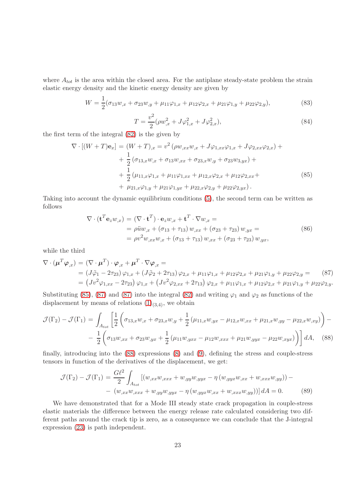where  $A_{tot}$  is the area within the closed area. For the antiplane steady-state problem the strain elastic energy density and the kinetic energy density are given by

$$
W = \frac{1}{2}(\sigma_{13}w_{,x} + \sigma_{23}w_{,y} + \mu_{11}\varphi_{1,x} + \mu_{12}\varphi_{2,x} + \mu_{21}\varphi_{1,y} + \mu_{22}\varphi_{2,y}),
$$
\n(83)

$$
T = \frac{v^2}{2} (\rho w_{,x}^2 + J\varphi_{1,x}^2 + J\varphi_{2,x}^2), \tag{84}
$$

the first term of the integral [\(82\)](#page-21-2) is the given by

<span id="page-22-0"></span>
$$
\nabla \cdot [(W+T)\mathbf{e}_x] = (W+T)_{,x} = v^2 \left( \rho w_{,xx} w_{,x} + J\varphi_{1,xx}\varphi_{1,x} + J\varphi_{2,xx}\varphi_{2,x} \right) +
$$
  
+ 
$$
\frac{1}{2} \left( \sigma_{13,x} w_{,x} + \sigma_{13} w_{,xx} + \sigma_{23,x} w_{,y} + \sigma_{23} w_{3,yx} \right) +
$$
  
+ 
$$
\frac{1}{2} \left( \mu_{11,x}\varphi_{1,x} + \mu_{11}\varphi_{1,xx} + \mu_{12,x}\varphi_{2,x} + \mu_{12}\varphi_{2,xx} +
$$
  
+ 
$$
\mu_{21,x}\varphi_{1,y} + \mu_{21}\varphi_{1,yx} + \mu_{22,x}\varphi_{2,y} + \mu_{22}\varphi_{2,yx} \right).
$$
 (85)

Taking into account the dynamic equilibrium conditions [\(5\)](#page-4-1), the second term can be written as follows

<span id="page-22-1"></span>
$$
\nabla \cdot (\mathbf{t}^T \mathbf{e}_z w_{,x}) = (\nabla \cdot \mathbf{t}^T) \cdot \mathbf{e}_z w_{,x} + \mathbf{t}^T \cdot \nabla w_{,x} =
$$
  
=  $\rho \ddot{u} w_{,x} + (\sigma_{13} + \tau_{13}) w_{,xx} + (\sigma_{23} + \tau_{23}) w_{,yx} =$   
=  $\rho v^2 w_{,xx} w_{,x} + (\sigma_{13} + \tau_{13}) w_{,xx} + (\sigma_{23} + \tau_{23}) w_{,yx},$  (86)

while the third

<span id="page-22-2"></span>
$$
\nabla \cdot (\mu^T \varphi_{,x}) = (\nabla \cdot \mu^T) \cdot \varphi_{,x} + \mu^T \cdot \nabla \varphi_{,x} =
$$
  
=  $(J\ddot{\varphi}_1 - 2\tau_{23}) \varphi_{1,x} + (J\ddot{\varphi}_2 + 2\tau_{13}) \varphi_{2,x} + \mu_{11}\varphi_{1,x} + \mu_{12}\varphi_{2,x} + \mu_{21}\varphi_{1,y} + \mu_{22}\varphi_{2,y} =$  (87)  
=  $(Jv^2 \varphi_{1,xx} - 2\tau_{23}) \varphi_{1,x} + (Jv^2 \varphi_{2,xx} + 2\tau_{13}) \varphi_{2,x} + \mu_{11}\varphi_{1,x} + \mu_{12}\varphi_{2,x} + \mu_{21}\varphi_{1,y} + \mu_{22}\varphi_{2,y}.$ 

Substituting [\(85\)](#page-22-0), [\(87\)](#page-22-2) and (87) into the integral [\(82\)](#page-21-2) and writing  $\varphi_1$  and  $\varphi_2$  as functions of the displacement by means of relations  $(1)_{(3,4)}$ , we obtain

<span id="page-22-3"></span>
$$
\mathcal{J}(\Gamma_2) - \mathcal{J}(\Gamma_1) = \int_{A_{tot}} \left[ \frac{1}{2} \left( \sigma_{13,x} w_{,x} + \sigma_{23,x} w_{,y} + \frac{1}{2} \left( \mu_{11,x} w_{,yx} - \mu_{12,x} w_{,xx} + \mu_{21,x} w_{,yy} - \mu_{22,x} w_{,xy} \right) \right) - \frac{1}{2} \left( \sigma_{13} w_{,xx} + \sigma_{23} w_{,yx} + \frac{1}{2} \left( \mu_{11} w_{,yx} - \mu_{12} w_{,xxx} + \mu_{21} w_{,yyx} - \mu_{22} w_{,xyx} \right) \right) dA, \quad (88)
$$

finally, introducing into the [\(88\)](#page-22-3) expressions [\(8\)](#page-4-4) and [\(9\)](#page-4-3), defining the stress and couple-stress tensors in function of the derivatives of the displacement, we get:

$$
\mathcal{J}(\Gamma_2) - \mathcal{J}(\Gamma_1) = \frac{G\ell^2}{2} \int_{A_{tot}} \left[ (w_{,xx}w_{,xxx} + w_{,yy}w_{,yyx} - \eta (w_{,yyx}w_{,xx} + w_{,xxx}w_{,yy})) - (w_{,xx}w_{,xxx} + w_{,yy}w_{,yyx} - \eta (w_{,yyx}w_{,xx} + w_{,xxx}w_{,yy})) \right] dA = 0.
$$
 (89)

We have demonstrated that for a Mode III steady state crack propagation in couple-stress elastic materials the difference between the energy release rate calculated considering two different paths around the crack tip is zero, as a consequence we can conclude that the J-integral expression [\(23\)](#page-6-1) is path independent.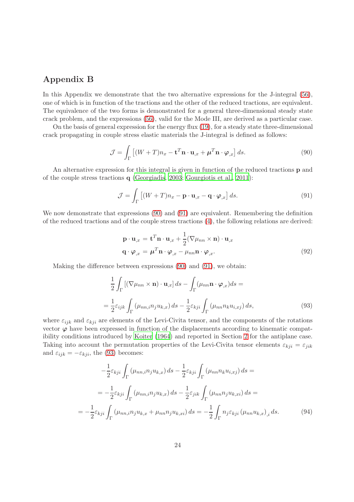# Appendix B

In this Appendix we demonstrate that the two alternative expressions for the J-integral [\(56\)](#page-12-3), one of which is in function of the tractions and the other of the reduced tractions, are equivalent. The equivalence of the two forms is demonstrated for a general three-dimensional steady state crack problem, and the expressions [\(56\)](#page-12-3), valid for the Mode III, are derived as a particular case.

On the basis of general expression for the energy flux [\(19\)](#page-6-0), for a steady state three-dimensional crack propagating in couple stress elastic materials the J-integral is defined as follows:

<span id="page-23-0"></span>
$$
\mathcal{J} = \int_{\Gamma} \left[ (W + T) n_x - \mathbf{t}^T \mathbf{n} \cdot \mathbf{u}_{,x} + \boldsymbol{\mu}^T \mathbf{n} \cdot \boldsymbol{\varphi}_{,x} \right] ds.
$$
 (90)

An alternative expression for this integral is given in function of the reduced tractions p and of the couple stress tractions q [\(Georgiadis](#page-29-9), [2003;](#page-29-9) [Gourgiotis et al.](#page-29-12), [2011](#page-29-12)):

<span id="page-23-1"></span>
$$
\mathcal{J} = \int_{\Gamma} \left[ (W + T) n_x - \mathbf{p} \cdot \mathbf{u}_{,x} - \mathbf{q} \cdot \boldsymbol{\varphi}_{,x} \right] ds.
$$
 (91)

We now demonstrate that expressions  $(90)$  and  $(91)$  are equivalent. Remembering the definition of the reduced tractions and of the couple stress tractions [\(4\)](#page-3-4), the following relations are derived:

$$
\mathbf{p} \cdot \mathbf{u}_{,x} = \mathbf{t}^T \mathbf{n} \cdot \mathbf{u}_{,x} + \frac{1}{2} (\nabla \mu_{nn} \times \mathbf{n}) \cdot \mathbf{u}_{,x}
$$
  
\n
$$
\mathbf{q} \cdot \boldsymbol{\varphi}_{,x} = \boldsymbol{\mu}^T \mathbf{n} \cdot \boldsymbol{\varphi}_{,x} - \mu_{nn} \mathbf{n} \cdot \boldsymbol{\varphi}_{,x}.
$$
\n(92)

Making the difference between expressions [\(90\)](#page-23-0) and [\(91\)](#page-23-1), we obtain:

<span id="page-23-2"></span>
$$
\frac{1}{2} \int_{\Gamma} \left[ (\nabla \mu_{nn} \times \mathbf{n}) \cdot \mathbf{u}_{,x} \right] ds - \int_{\Gamma} (\mu_{nn} \mathbf{n} \cdot \boldsymbol{\varphi}_{,x}) ds =
$$
\n
$$
= \frac{1}{2} \varepsilon_{ijk} \int_{\Gamma} (\mu_{nn,i} n_j u_{k,x}) ds - \frac{1}{2} \varepsilon_{kji} \int_{\Gamma} (\mu_{nn} n_k u_{i,xy}) ds,
$$
\n(93)

where  $\varepsilon_{ijk}$  and  $\varepsilon_{kji}$  are elements of the Levi-Civita tensor, and the components of the rotations vector  $\varphi$  have been expressed in function of the displacements according to kinematic compatibility conditions introduced by [Koiter \(1964\)](#page-29-7) and reported in Section [2](#page-3-0) for the antiplane case. Taking into account the permutation properties of the Levi-Civita tensor elements  $\varepsilon_{kji} = \varepsilon_{jik}$ and  $\varepsilon_{ijk} = -\varepsilon_{kji}$ , the [\(93\)](#page-23-2) becomes:

<span id="page-23-3"></span>
$$
-\frac{1}{2}\varepsilon_{kji}\int_{\Gamma} (\mu_{nn,i}n_{j}u_{k,x}) ds - \frac{1}{2}\varepsilon_{kji}\int_{\Gamma} (\mu_{nn}n_{k}u_{i,xj}) ds =
$$
  

$$
= -\frac{1}{2}\varepsilon_{kji}\int_{\Gamma} (\mu_{nn,i}n_{j}u_{k,x}) ds - \frac{1}{2}\varepsilon_{jik}\int_{\Gamma} (\mu_{nn}n_{j}u_{k,xi}) ds =
$$
  

$$
= -\frac{1}{2}\varepsilon_{kji}\int_{\Gamma} (\mu_{nn,i}n_{j}u_{k,x} + \mu_{nn}n_{j}u_{k,xi}) ds = -\frac{1}{2}\int_{\Gamma} n_{j}\varepsilon_{kji} (\mu_{nn}u_{k,x})_{,i} ds.
$$
 (94)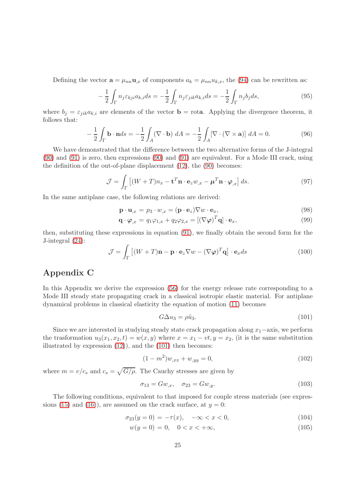Defining the vector  $\mathbf{a} = \mu_{nn} \mathbf{u}_{,x}$  of components  $a_k = \mu_{nn} u_{k,x}$ , the [\(94\)](#page-23-3) can be rewritten as:

$$
-\frac{1}{2}\int_{\Gamma} n_j \varepsilon_{kji} a_{k,i} ds = -\frac{1}{2}\int_{\Gamma} n_j \varepsilon_{jik} a_{k,i} ds = -\frac{1}{2}\int_{\Gamma} n_j b_j ds,
$$
\n(95)

where  $b_j = \varepsilon_{jik} a_{k,i}$  are elements of the vector  $\mathbf{b} = \text{rota}$ . Applying the divergence theorem, it follows that:

$$
-\frac{1}{2}\int_{\Gamma} \mathbf{b} \cdot \mathbf{n} ds = -\frac{1}{2}\int_{A} (\nabla \cdot \mathbf{b}) dA = -\frac{1}{2}\int_{A} [\nabla \cdot (\nabla \times \mathbf{a})] dA = 0.
$$
 (96)

We have demonstrated that the difference between the two alternative forms of the J-integral [\(90\)](#page-23-0) and [\(91\)](#page-23-1) is zero, then expressions [\(90\)](#page-23-0) and [\(91\)](#page-23-1) are equivalent. For a Mode III crack, using the definition of the out-of-plane displacement [\(12\)](#page-4-7), the [\(90\)](#page-23-0) becomes:

$$
\mathcal{J} = \int_{\Gamma} \left[ (W + T) n_x - \mathbf{t}^T \mathbf{n} \cdot \mathbf{e}_z w_{,x} - \boldsymbol{\mu}^T \mathbf{n} \cdot \boldsymbol{\varphi}_{,x} \right] ds. \tag{97}
$$

In the same antiplane case, the following relations are derived:

$$
\mathbf{p} \cdot \mathbf{u}_{,x} = p_3 \cdot w_{,x} = (\mathbf{p} \cdot \mathbf{e}_z) \nabla w \cdot \mathbf{e}_x, \tag{98}
$$

$$
\mathbf{q} \cdot \boldsymbol{\varphi}_{,x} = q_1 \varphi_{1,x} + q_2 \varphi_{2,x} = [(\nabla \boldsymbol{\varphi})^T \mathbf{q}] \cdot \mathbf{e}_x,\tag{99}
$$

then, substituting these expressions in equation [\(91\)](#page-23-1), we finally obtain the second form for the J-integral [\(24\)](#page-6-1):

$$
\mathcal{J} = \int_{\Gamma} \left[ (W + T)\mathbf{n} - \mathbf{p} \cdot \mathbf{e}_z \nabla w - (\nabla \varphi)^T \mathbf{q} \right] \cdot \mathbf{e}_x ds \tag{100}
$$

# Appendix C

In this Appendix we derive the expression [\(56\)](#page-12-3) for the energy release rate corresponding to a Mode III steady state propagating crack in a classical isotropic elastic material. For antiplane dynamical problems in classical elasticity the equation of motion [\(11\)](#page-4-6) becomes

<span id="page-24-0"></span>
$$
G\Delta u_3 = \rho \ddot{u}_3. \tag{101}
$$

Since we are interested in studying steady state crack propagation along  $x_1$ −axis, we perform the trasformation  $u_3(x_1, x_2, t) = w(x, y)$  where  $x = x_1 - vt, y = x_2$ , (it is the same substitution illustrated by expression [\(12\)](#page-4-7)), and the [\(101\)](#page-24-0) then becomes:

<span id="page-24-1"></span>
$$
(1 - m2)w,xx + w,yy = 0,
$$
\n(102)

where  $m = v/c_s$  and  $c_s = \sqrt{G/\rho}$ . The Cauchy stresses are given by

$$
\sigma_{13} = Gw_{,x}, \quad \sigma_{23} = Gw_{,y}.\tag{103}
$$

The following conditions, equivalent to that imposed for couple stress materials (see expres-sions [\(15\)](#page-5-3) and [\(16\)](#page-5-4)), are assumed on the crack surface, at  $y = 0$ :

<span id="page-24-2"></span>
$$
\sigma_{23}(y=0) = -\tau(x), \quad -\infty < x < 0,\tag{104}
$$

$$
w(y=0) = 0, \quad 0 < x < +\infty,\tag{105}
$$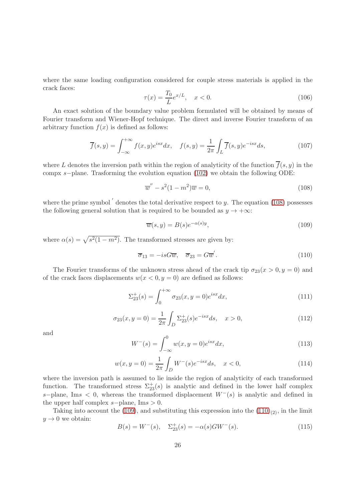where the same loading configuration considered for couple stress materials is applied in the crack faces:

<span id="page-25-4"></span>
$$
\tau(x) = \frac{T_0}{L} e^{x/L}, \quad x < 0. \tag{106}
$$

An exact solution of the boundary value problem formulated will be obtained by means of Fourier transform and Wiener-Hopf technique. The direct and inverse Fourier transform of an arbitrary function  $f(x)$  is defined as follows:

$$
\overline{f}(s,y) = \int_{-\infty}^{+\infty} f(x,y)e^{isx}dx, \quad f(s,y) = \frac{1}{2\pi} \int_{L} \overline{f}(s,y)e^{-isx}ds,
$$
\n(107)

where L denotes the inversion path within the region of analyticity of the function  $\overline{f}(s, y)$  in the compx s−plane. Trasforming the evolution equation [\(102\)](#page-24-1) we obtain the following ODE:

<span id="page-25-0"></span>
$$
\overline{w}'' - s^2(1 - m^2)\overline{w} = 0,
$$
\n(108)

where the prime symbol  $\prime$  denotes the total derivative respect to y. The equation [\(108\)](#page-25-0) possesses the following general solution that is required to be bounded as  $y \to +\infty$ :

<span id="page-25-1"></span>
$$
\overline{w}(s,y) = B(s)e^{-\alpha(s)y},\tag{109}
$$

where  $\alpha(s) = \sqrt{s^2(1 - m^2)}$ . The transformed stresses are given by:

<span id="page-25-2"></span>
$$
\overline{\sigma}_{13} = -isG\overline{w}, \quad \overline{\sigma}_{23} = G\overline{w}'.
$$
\n(110)

The Fourier transforms of the unknown stress ahead of the crack tip  $\sigma_{23}(x > 0, y = 0)$  and of the crack faces displacements  $w(x < 0, y = 0)$  are defined as follows:

$$
\Sigma_{23}^+(s) = \int_0^{+\infty} \sigma_{23}(x, y=0) e^{isx} dx, \tag{111}
$$

$$
\sigma_{23}(x, y=0) = \frac{1}{2\pi} \int_D \Sigma_{23}^+(s) e^{-isx} ds, \quad x > 0,
$$
\n(112)

and

$$
W^{-}(s) = \int_{-\infty}^{0} w(x, y = 0)e^{isx} dx,
$$
\n(113)

$$
w(x, y = 0) = \frac{1}{2\pi} \int_{D} W^{-}(s)e^{-isx}ds, \quad x < 0,
$$
\n(114)

where the inversion path is assumed to lie inside the region of analyticity of each transformed function. The transformed stress  $\Sigma_{23}^{+}(s)$  is analytic and defined in the lower half complex s–plane, Ims < 0, whereas the transformed displacement  $W^-(s)$  is analytic and defined in the upper half complex  $s$ −plane, Im $s > 0$ .

Taking into account the [\(109\)](#page-25-1), and substituting this expression into the  $(110)_{(2)}$ , in the limit  $y \rightarrow 0$  we obtain:

<span id="page-25-3"></span>
$$
B(s) = W^-(s), \quad \Sigma_{23}^+(s) = -\alpha(s)GW^-(s). \tag{115}
$$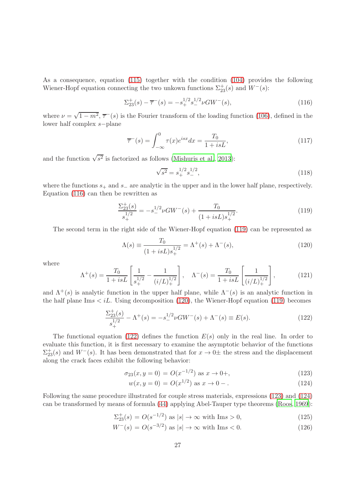As a consequence, equation [\(115\)](#page-25-3) together with the condition [\(104\)](#page-24-2) provides the following Wiener-Hopf equation connecting the two unkown functions  $\Sigma_{23}^{+}(s)$  and  $W^{-}(s)$ :

<span id="page-26-0"></span>
$$
\Sigma_{23}^+(s) - \overline{\tau}^-(s) = -s_+^{1/2} s_-^{1/2} \nu G W^-(s),\tag{116}
$$

where  $\nu = \sqrt{1 - m^2}$ ,  $\overline{\tau}^-(s)$  is the Fourier transform of the loading function [\(106\)](#page-25-4), defined in the lower half complex s−plane

$$
\overline{\tau}^-(s) = \int_{-\infty}^0 \tau(x)e^{isx} dx = \frac{T_0}{1 + isL},
$$
\n(117)

and the function  $\sqrt{s^2}$  is factorized as follows [\(Mishuris et al.](#page-30-6), [2013](#page-30-6)):

$$
\sqrt{s^2} = s_+^{1/2} s_-^{1/2},\tag{118}
$$

where the functions  $s_+$  and  $s_-$  are analytic in the upper and in the lower half plane, respectively. Equation [\(116\)](#page-26-0) can then be rewritten as

<span id="page-26-1"></span>
$$
\frac{\Sigma_{23}^+(s)}{s_+^{1/2}} = -s_-^{1/2} \nu GW^-(s) + \frac{T_0}{(1+isL)s_+^{1/2}}.
$$
\n(119)

The second term in the right side of the Wiener-Hopf equation [\(119\)](#page-26-1) can be represented as

<span id="page-26-2"></span>
$$
\Lambda(s) \equiv \frac{T_0}{(1 + isL)s_+^{1/2}} = \Lambda^+(s) + \Lambda^-(s),\tag{120}
$$

where

<span id="page-26-5"></span>
$$
\Lambda^{+}(s) = \frac{T_0}{1 + isL} \left[ \frac{1}{s_+^{1/2}} - \frac{1}{(i/L)_+^{1/2}} \right], \quad \Lambda^{-}(s) = \frac{T_0}{1 + isL} \left[ \frac{1}{(i/L)_+^{1/2}} \right],\tag{121}
$$

and  $\Lambda^+(s)$  is analytic function in the upper half plane, while  $\Lambda^-(s)$  is an analytic function in the half plane Ims  $\langle iL$ . Using decomposition [\(120\)](#page-26-2), the Wiener-Hopf equation [\(119\)](#page-26-1) becomes

<span id="page-26-3"></span>
$$
\frac{\Sigma_{23}^+(s)}{s_+^{1/2}} - \Lambda^+(s) = -s_-^{1/2} \nu GW^-(s) + \Lambda^-(s) \equiv E(s). \tag{122}
$$

The functional equation [\(122\)](#page-26-3) defines the function  $E(s)$  only in the real line. In order to evaluate this function, it is first necessary to examine the asymptotic behavior of the functions  $\Sigma_{23}^+(s)$  and  $W^-(s)$ . It has been demonstrated that for  $x \to 0^{\pm}$  the stress and the displacement along the crack faces exhibit the following behavior:

<span id="page-26-4"></span>
$$
\sigma_{23}(x, y = 0) = O(x^{-1/2}) \text{ as } x \to 0+, \tag{123}
$$

$$
w(x, y = 0) = O(x^{1/2}) \text{ as } x \to 0 -.
$$
 (124)

Following the same procedure illustrated for couple stress materials, expressions [\(123\)](#page-26-4) and [\(124\)](#page-26-4) can be transformed by means of formula [\(44\)](#page-10-0) applying Abel-Tauper type theorems [\(Roos](#page-30-11), [1969](#page-30-11)):

$$
\Sigma_{23}^{+}(s) = O(s^{-1/2}) \text{ as } |s| \to \infty \text{ with } \text{Im}s > 0,
$$
\n(125)

$$
W^{-}(s) = O(s^{-3/2}) \text{ as } |s| \to \infty \text{ with } \text{Im}s < 0. \tag{126}
$$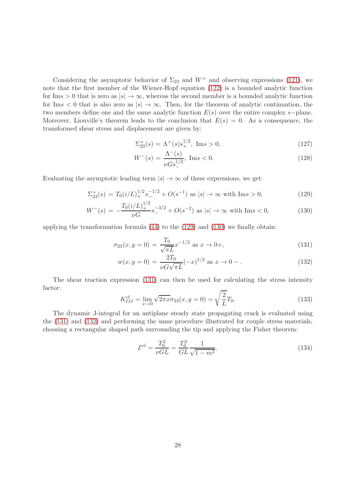Considering the asymptotic behavior of  $\Sigma_{23}$  and  $W^+$  and observing expressions [\(121\)](#page-26-5), we note that the first member of the Wiener-Hopf equation [\(122\)](#page-26-3) is a bounded analytic function for Ims > 0 that is zero as  $|s| \to \infty$ , whereas the second member is a bounded analytic function for Ims  $\lt 0$  that is also zero as  $|s| \to \infty$ . Then, for the theorem of analytic continuation, the two members define one and the same analytic function  $E(s)$  over the entire complex s-plane. Moreover, Liouville's theorem leads to the conclusion that  $E(s) = 0$ . As a consequence, the transformed shear stress and displacement are given by:

$$
\Sigma_{23}^{+}(s) = \Lambda^{+}(s)s_{+}^{1/2}, \text{ Im}s > 0,
$$
\n(127)

$$
W^{-}(s) = \frac{\Lambda^{-}(s)}{\nu G s_{-}^{1/2}}, \text{ Im}s < 0.
$$
 (128)

Evaluating the asymptotic leading term  $|s| \to \infty$  of these expressions, we get:

<span id="page-27-0"></span>
$$
\Sigma_{23}^{+}(s) = T_0(i/L)_{+}^{1/2} s_{-}^{-1/2} + O(s^{-1}) \text{ as } |s| \to \infty \text{ with } \text{Im}s > 0,
$$
\n(129)

$$
W^{-}(s) = -\frac{T_0(i/L)_+^{1/2}}{\nu G}s_-^{-3/2} + O(s^{-2}) \text{ as } |s| \to \infty \text{ with } \text{Im}s < 0,\tag{130}
$$

applying the transformation formula [\(44\)](#page-10-0) to the [\(129\)](#page-27-0) and [\(130\)](#page-27-0) we finally obtain:

<span id="page-27-1"></span>
$$
\sigma_{23}(x, y = 0) = \frac{T_0}{\sqrt{\pi L}} x^{-1/2} \text{ as } x \to 0+, \tag{131}
$$

$$
w(x, y = 0) = \frac{2T_0}{\nu G \sqrt{\pi L}} (-x)^{1/2} \text{ as } x \to 0 -.
$$
 (132)

The shear traction expression [\(131\)](#page-27-1) can then be used for calculating the stress intensity factor:

$$
K_{III}^{cl} = \lim_{x \to 0} \sqrt{2\pi x} \sigma_{23}(x, y = 0) = \sqrt{\frac{2}{L}} T_0.
$$
\n(133)

The dynamic J-integral for an antiplane steady state propagating crack is evaluated using the [\(131\)](#page-27-1) and [\(132\)](#page-27-1) and performing the same procedure illustrated for couple stress materials, choosing a rectangular shaped path surrounding the tip and applying the Fisher theorem:

$$
\mathcal{E}^{cl} = \frac{T_0^2}{\nu GL} = \frac{T_0^2}{GL} \frac{1}{\sqrt{1 - m^2}}.
$$
\n(134)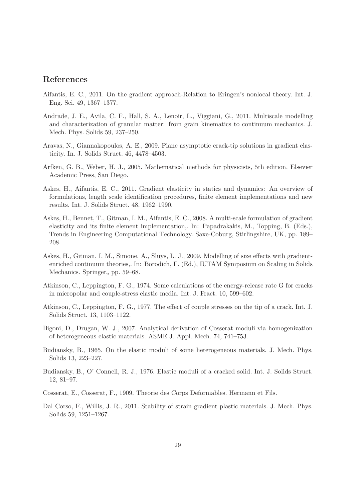# References

- <span id="page-28-7"></span>Aifantis, E. C., 2011. On the gradient approach-Relation to Eringen's nonlocal theory. Int. J. Eng. Sci. 49, 1367–1377.
- <span id="page-28-4"></span>Andrade, J. E., Avila, C. F., Hall, S. A., Lenoir, L., Viggiani, G., 2011. Multiscale modelling and characterization of granular matter: from grain kinematics to continuum mechanics. J. Mech. Phys. Solids 59, 237–250.
- <span id="page-28-10"></span>Aravas, N., Giannakopoulos, A. E., 2009. Plane asymptotic crack-tip solutions in gradient elasticity. In. J. Solids Struct. 46, 4478–4503.
- <span id="page-28-13"></span>Arfken, G. B., Weber, H. J., 2005. Mathematical methods for physicists, 5th edition. Elsevier Academic Press, San Diego.
- <span id="page-28-9"></span>Askes, H., Aifantis, E. C., 2011. Gradient elasticity in statics and dynamics: An overview of formulations, length scale identification procedures, finite element implementations and new results. Int. J. Solids Struct. 48, 1962–1990.
- <span id="page-28-2"></span>Askes, H., Bennet, T., Gitman, I. M., Aifantis, E. C., 2008. A multi-scale formulation of gradient elasticity and its finite element implementation,. In: Papadrakakis, M., Topping, B. (Eds.), Trends in Engineering Computational Technology. Saxe-Coburg, Stirlingshire, UK, pp. 189– 208.
- <span id="page-28-3"></span>Askes, H., Gitman, I. M., Simone, A., Sluys, L. J., 2009. Modelling of size effects with gradientenriched continuum theories,. In: Borodich, F. (Ed.), IUTAM Symposium on Scaling in Solids Mechanics. Springer, pp. 59–68.
- <span id="page-28-11"></span>Atkinson, C., Leppington, F. G., 1974. Some calculations of the energy-release rate G for cracks in micropolar and couple-stress elastic media. Int. J. Fract. 10, 599–602.
- <span id="page-28-12"></span>Atkinson, C., Leppington, F. G., 1977. The effect of couple stresses on the tip of a crack. Int. J. Solids Struct. 13, 1103–1122.
- <span id="page-28-5"></span>Bigoni, D., Drugan, W. J., 2007. Analytical derivation of Cosserat moduli via homogenization of heterogeneous elastic materials. ASME J. Appl. Mech. 74, 741–753.
- <span id="page-28-0"></span>Budiansky, B., 1965. On the elastic moduli of some heterogeneous materials. J. Mech. Phys. Solids 13, 223–227.
- <span id="page-28-1"></span>Budiansky, B., O' Connell, R. J., 1976. Elastic moduli of a cracked solid. Int. J. Solids Struct. 12, 81–97.
- <span id="page-28-6"></span>Cosserat, E., Cosserat, F., 1909. Theorie des Corps Deformables. Hermann et Fils.
- <span id="page-28-8"></span>Dal Corso, F., Willis, J. R., 2011. Stability of strain gradient plastic materials. J. Mech. Phys. Solids 59, 1251–1267.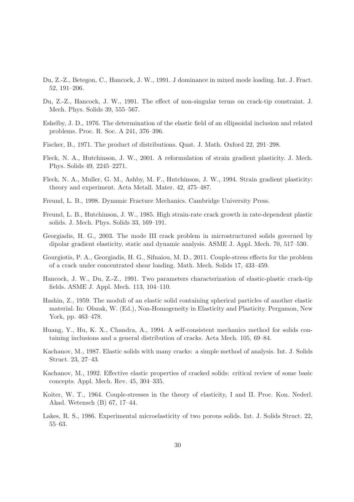- <span id="page-29-16"></span>Du, Z.-Z., Betegon, C., Hancock, J. W., 1991. J dominance in mixed mode loading. Int. J. Fract. 52, 191–206.
- <span id="page-29-15"></span>Du, Z.-Z., Hancock, J. W., 1991. The effect of non-singular terms on crack-tip constraint. J. Mech. Phys. Solids 39, 555–567.
- <span id="page-29-1"></span>Eshelby, J. D., 1976. The determination of the elastic field of an ellipsoidal inclusion and related problems. Proc. R. Soc. A 241, 376–396.
- <span id="page-29-14"></span>Fischer, B., 1971. The product of distributions. Quat. J. Math. Oxford 22, 291–298.
- <span id="page-29-8"></span>Fleck, N. A., Hutchinson, J. W., 2001. A reformulation of strain gradient plasticity. J. Mech. Phys. Solids 49, 2245–2271.
- <span id="page-29-6"></span>Fleck, N. A., Muller, G. M., Ashby, M. F., Hutchinson, J. W., 1994. Strain gradient plasticity: theory and experiment. Acta Metall. Mater. 42, 475–487.
- <span id="page-29-10"></span>Freund, L. B., 1998. Dynamic Fracture Mechanics. Cambridge University Press.
- <span id="page-29-11"></span>Freund, L. B., Hutchinson, J. W., 1985. High strain-rate crack growth in rate-dependent plastic solids. J. Mech. Phys. Solids 33, 169–191.
- <span id="page-29-9"></span>Georgiadis, H. G., 2003. The mode III crack problem in microstructured solids governed by dipolar gradient elasticity, static and dynamic analysis. ASME J. Appl. Mech. 70, 517–530.
- <span id="page-29-12"></span>Gourgiotis, P. A., Georgiadis, H. G., Sifnaiou, M. D., 2011. Couple-stress effects for the problem of a crack under concentrated shear loading. Math. Mech. Solids 17, 433–459.
- <span id="page-29-13"></span>Hancock, J. W., Du, Z.-Z., 1991. Two parameters characterization of elastic-plastic crack-tip fields. ASME J. Appl. Mech. 113, 104–110.
- <span id="page-29-0"></span>Hashin, Z., 1959. The moduli of an elastic solid containing spherical particles of another elastic material. In: Olszak, W. (Ed.), Non-Homogeneity in Elasticity and Plasticity. Pergamon, New York, pp. 463–478.
- <span id="page-29-4"></span>Huang, Y., Hu, K. X., Chandra, A., 1994. A self-consistent mechanics method for solids containing inclusions and a general distribution of cracks. Acta Mech. 105, 69–84.
- <span id="page-29-2"></span>Kachanov, M., 1987. Elastic solids with many cracks: a simple method of analysis. Int. J. Solids Struct. 23, 27–43.
- <span id="page-29-3"></span>Kachanov, M., 1992. Effective elastic properties of cracked solids: critical review of some basic concepts. Appl. Mech. Rev. 45, 304–335.
- <span id="page-29-7"></span>Koiter, W. T., 1964. Couple-stresses in the theory of elasticity, I and II. Proc. Kon. Nederl. Akad. Wetensch (B) 67, 17–44.
- <span id="page-29-5"></span>Lakes, R. S., 1986. Experimental microelasticity of two porous solids. Int. J. Solids Struct. 22, 55–63.